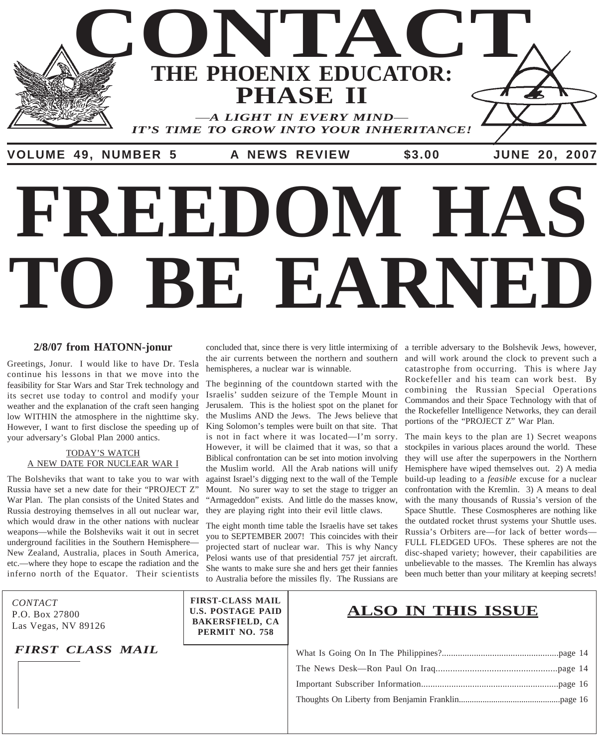

# **TO BE EARNED FREEDOM HAS**

#### **2/8/07 from HATONN-jonur**

Greetings, Jonur. I would like to have Dr. Tesla continue his lessons in that we move into the feasibility for Star Wars and Star Trek technology and its secret use today to control and modify your weather and the explanation of the craft seen hanging low WITHIN the atmosphere in the nighttime sky. However, I want to first disclose the speeding up of your adversary's Global Plan 2000 antics.

#### TODAY'S WATCH A NEW DATE FOR NUCLEAR WAR I

The Bolsheviks that want to take you to war with Russia have set a new date for their "PROJECT Z" War Plan. The plan consists of the United States and Russia destroying themselves in all out nuclear war, which would draw in the other nations with nuclear weapons—while the Bolsheviks wait it out in secret underground facilities in the Southern Hemisphere— New Zealand, Australia, places in South America, etc.—where they hope to escape the radiation and the inferno north of the Equator. Their scientists

P.O. Box 27800 Las Vegas, NV 89126

*FIRST CLASS MAIL*

hemispheres, a nuclear war is winnable.

The beginning of the countdown started with the Israelis' sudden seizure of the Temple Mount in Jerusalem. This is the holiest spot on the planet for the Muslims AND the Jews. The Jews believe that King Solomon's temples were built on that site. That is not in fact where it was located—I'm sorry. However, it will be claimed that it was, so that a Biblical confrontation can be set into motion involving the Muslim world. All the Arab nations will unify against Israel's digging next to the wall of the Temple Mount. No surer way to set the stage to trigger an "Armageddon" exists. And little do the masses know, they are playing right into their evil little claws.

The eight month time table the Israelis have set takes you to SEPTEMBER 2007! This coincides with their projected start of nuclear war. This is why Nancy Pelosi wants use of that presidential 757 jet aircraft. She wants to make sure she and hers get their fannies to Australia before the missiles fly. The Russians are

concluded that, since there is very little intermixing of a terrible adversary to the Bolshevik Jews, however, the air currents between the northern and southern and will work around the clock to prevent such a catastrophe from occurring. This is where Jay Rockefeller and his team can work best. By combining the Russian Special Operations Commandos and their Space Technology with that of the Rockefeller Intelligence Networks, they can derail portions of the "PROJECT Z" War Plan.

> The main keys to the plan are 1) Secret weapons stockpiles in various places around the world. These they will use after the superpowers in the Northern Hemisphere have wiped themselves out. 2) A media build-up leading to a *feasible* excuse for a nuclear confrontation with the Kremlin. 3) A means to deal with the many thousands of Russia's version of the Space Shuttle. These Cosmospheres are nothing like the outdated rocket thrust systems your Shuttle uses. Russia's Orbiters are—for lack of better words— FULL FLEDGED UFOs. These spheres are not the disc-shaped variety; however, their capabilities are unbelievable to the masses. The Kremlin has always been much better than your military at keeping secrets!

**FIRST-CLASS MAIL U.S. POSTAGE PAID BAKERSFIELD, CA PERMIT NO. 758**

# *CONTACT*<br>PO Box 27800 **CONTAGE PAID ALSO IN THIS ISSUE**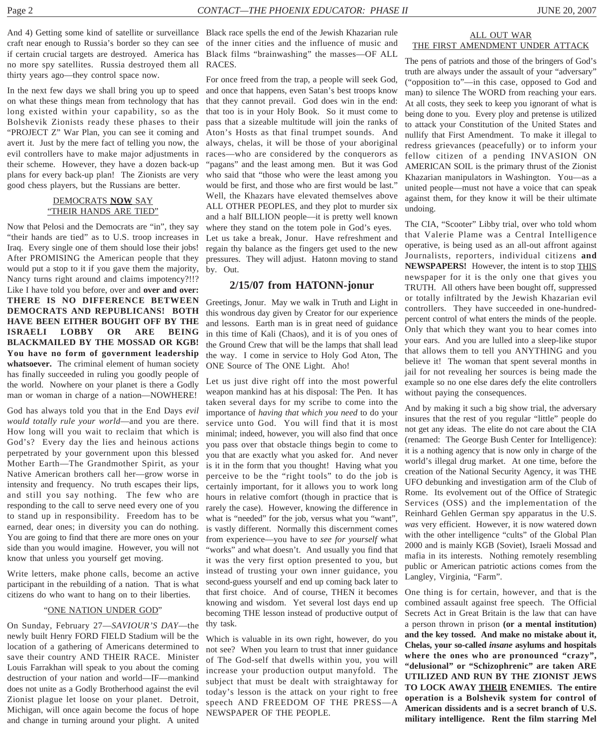craft near enough to Russia's border so they can see of the inner cities and the influence of music and if certain crucial targets are destroyed. America has Black films "brainwashing" the masses—OF ALL no more spy satellites. Russia destroyed them all RACES. thirty years ago—they control space now.

In the next few days we shall bring you up to speed on what these things mean from technology that has long existed within your capability, so as the Bolshevik Zionists ready these phases to their "PROJECT Z" War Plan, you can see it coming and avert it. Just by the mere fact of telling you now, the evil controllers have to make major adjustments in their scheme. However, they have a dozen back-up plans for every back-up plan! The Zionists are very good chess players, but the Russians are better.

#### DEMOCRATS **NOW** SAY "THEIR HANDS ARE TIED"

Now that Pelosi and the Democrats are "in", they say "their hands are tied" as to U.S. troop increases in Iraq. Every single one of them should lose their jobs! After PROMISING the American people that they would put a stop to it if you gave them the majority, Nancy turns right around and claims impotency?!!? Like I have told you before, over and **over and over: THERE IS NO DIFFERENCE BETWEEN DEMOCRATS AND REPUBLICANS! BOTH HAVE BEEN EITHER BOUGHT OFF BY THE ISRAELI LOBBY OR ARE BEING BLACKMAILED BY THE MOSSAD OR KGB! You have no form of government leadership whatsoever.** The criminal element of human society has finally succeeded in ruling you goodly people of the world. Nowhere on your planet is there a Godly man or woman in charge of a nation—NOWHERE!

God has always told you that in the End Days *evil would totally rule your world*—and you are there. How long will you wait to reclaim that which is God's? Every day the lies and heinous actions perpetrated by your government upon this blessed Mother Earth—The Grandmother Spirit, as your Native American brothers call her—grow worse in intensity and frequency. No truth escapes their lips, and still you say nothing. The few who are responding to the call to serve need every one of you to stand up in responsibility. Freedom has to be earned, dear ones; in diversity you can do nothing. You are going to find that there are more ones on your side than you would imagine. However, you will not know that unless you yourself get moving.

Write letters, make phone calls, become an active participant in the rebuilding of a nation. That is what citizens do who want to hang on to their liberties.

#### "ONE NATION UNDER GOD"

On Sunday, February 27—*SAVIOUR'S DAY*—the newly built Henry FORD FIELD Stadium will be the location of a gathering of Americans determined to save their country AND THEIR RACE. Minister Louis Farrakhan will speak to you about the coming destruction of your nation and world—IF—mankind does not unite as a Godly Brotherhood against the evil Zionist plague let loose on your planet. Detroit, Michigan, will once again become the focus of hope and change in turning around your plight. A united

And 4) Getting some kind of satellite or surveillance Black race spells the end of the Jewish Khazarian rule

For once freed from the trap, a people will seek God, and once that happens, even Satan's best troops know that they cannot prevail. God does win in the end: that too is in your Holy Book. So it must come to pass that a sizeable multitude will join the ranks of Aton's Hosts as that final trumpet sounds. And always, chelas, it will be those of your aboriginal races—who are considered by the conquerors as "pagans" and the least among men. But it was God who said that "those who were the least among you would be first, and those who are first would be last." Well, the Khazars have elevated themselves above ALL OTHER PEOPLES, and they plot to murder six and a half BILLION people—it is pretty well known where they stand on the totem pole in God's eyes. Let us take a break, Jonur. Have refreshment and regain thy balance as the fingers get used to the new pressures. They will adjust. Hatonn moving to stand by. Out.

#### **2/15/07 from HATONN-jonur**

Greetings, Jonur. May we walk in Truth and Light in this wondrous day given by Creator for our experience and lessons. Earth man is in great need of guidance in this time of Kali (Chaos), and it is of you ones of the Ground Crew that will be the lamps that shall lead the way. I come in service to Holy God Aton, The ONE Source of The ONE Light. Aho!

Let us just dive right off into the most powerful weapon mankind has at his disposal: The Pen. It has taken several days for my scribe to come into the importance of *having that which you need* to do your service unto God. You will find that it is most minimal; indeed, however, you will also find that once you pass over that obstacle things begin to come to you that are exactly what you asked for. And never is it in the form that you thought! Having what you perceive to be the "right tools" to do the job is certainly important, for it allows you to work long hours in relative comfort (though in practice that is rarely the case). However, knowing the difference in what is "needed" for the job, versus what you "want", is vastly different. Normally this discernment comes from experience—you have to *see for yourself* what "works" and what doesn't. And usually you find that it was the very first option presented to you, but instead of trusting your own inner guidance, you second-guess yourself and end up coming back later to that first choice. And of course, THEN it becomes knowing and wisdom. Yet several lost days end up becoming THE lesson instead of productive output of thy task.

Which is valuable in its own right, however, do you not see? When you learn to trust that inner guidance of The God-self that dwells within you, you will increase your production output manyfold. The subject that must be dealt with straightaway for today's lesson is the attack on your right to free speech AND FREEDOM OF THE PRESS—A NEWSPAPER OF THE PEOPLE.

#### ALL OUT WAR THE FIRST AMENDMENT UNDER ATTACK

The pens of patriots and those of the bringers of God's truth are always under the assault of your "adversary" ("opposition to"—in this case, opposed to God and man) to silence The WORD from reaching your ears. At all costs, they seek to keep you ignorant of what is being done to you. Every ploy and pretense is utilized to attack your Constitution of the United States and nullify that First Amendment. To make it illegal to redress grievances (peacefully) or to inform your fellow citizen of a pending INVASION ON AMERICAN SOIL is the primary thrust of the Zionist Khazarian manipulators in Washington. You—as a united people—must not have a voice that can speak against them, for they know it will be their ultimate undoing.

The CIA, "Scooter" Libby trial, over who told whom that Valerie Plame was a Central Intelligence operative, is being used as an all-out affront against Journalists, reporters, individual citizens **and NEWSPAPERS!** However, the intent is to stop THIS newspaper for it is the only one that gives you TRUTH. All others have been bought off, suppressed or totally infiltrated by the Jewish Khazarian evil controllers. They have succeeded in one-hundredpercent control of what enters the minds of the people. Only that which they want you to hear comes into your ears. And you are lulled into a sleep-like stupor that allows them to tell you ANYTHING and you believe it! The woman that spent several months in jail for not revealing her sources is being made the example so no one else dares defy the elite controllers without paying the consequences.

And by making it such a big show trial, the adversary insures that the rest of you regular "little" people do not get any ideas. The elite do not care about the CIA (renamed: The George Bush Center for Intelligence): it is a nothing agency that is now only in charge of the world's illegal drug market. At one time, before the creation of the National Security Agency, it was THE UFO debunking and investigation arm of the Club of Rome. Its evolvement out of the Office of Strategic Services (OSS) and the implementation of the Reinhard Gehlen German spy apparatus in the U.S. *was* very efficient. However, it is now watered down with the other intelligence "cults" of the Global Plan 2000 and is mainly KGB (Soviet), Israeli Mossad and mafia in its interests. Nothing remotely resembling public or American patriotic actions comes from the Langley, Virginia, "Farm".

One thing is for certain, however, and that is the combined assault against free speech. The Official Secrets Act in Great Britain is the law that can have a person thrown in prison **(or a mental institution) and the key tossed. And make no mistake about it, Chelas, your so-called** *insane* **asylums and hospitals where the ones who are pronounced "crazy", "delusional" or "Schizophrenic" are taken ARE UTILIZED AND RUN BY THE ZIONIST JEWS TO LOCK AWAY THEIR ENEMIES. The entire operation is a Bolshevik system for control of American dissidents and is a secret branch of U.S. military intelligence. Rent the film starring Mel**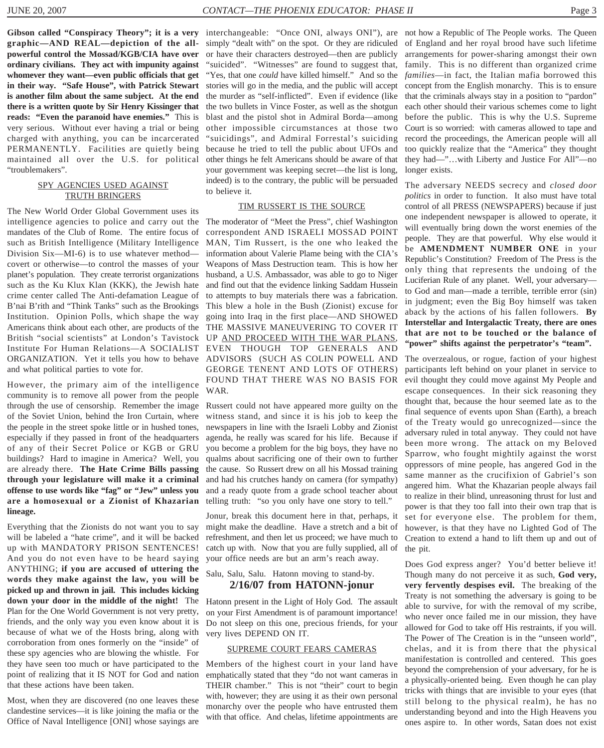**graphic—AND REAL—depiction of the allpowerful control the Mossad/KGB/CIA have over ordinary civilians. They act with impunity against whomever they want—even public officials that get in their way. "Safe House", with Patrick Stewart is another film about the same subject. At the end there is a written quote by Sir Henry Kissinger that reads: "Even the paranoid have enemies."** This is very serious. Without ever having a trial or being charged with anything, you can be incarcerated PERMANENTLY. Facilities are quietly being maintained all over the U.S. for political "troublemakers".

#### SPY AGENCIES USED AGAINST TRUTH BRINGERS

The New World Order Global Government uses its intelligence agencies to police and carry out the mandates of the Club of Rome. The entire focus of such as British Intelligence (Military Intelligence Division Six—MI-6) is to use whatever method covert or otherwise—to control the masses of your planet's population. They create terrorist organizations such as the Ku Klux Klan (KKK), the Jewish hate crime center called The Anti-defamation League of B'nai B'rith and "Think Tanks" such as the Brookings Institution. Opinion Polls, which shape the way Americans think about each other, are products of the British "social scientists" at London's Tavistock Institute For Human Relations—A SOCIALIST ORGANIZATION. Yet it tells you how to behave and what political parties to vote for.

However, the primary aim of the intelligence community is to remove all power from the people through the use of censorship. Remember the image of the Soviet Union, behind the Iron Curtain, where the people in the street spoke little or in hushed tones, especially if they passed in front of the headquarters of any of their Secret Police or KGB or GRU buildings? Hard to imagine in America? Well, you are already there. **The Hate Crime Bills passing through your legislature will make it a criminal offense to use words like "fag" or "Jew" unless you** and a ready quote from a grade school teacher about **are a homosexual or a Zionist of Khazarian** telling truth: "so you only have one story to tell." **lineage.**

Everything that the Zionists do not want you to say will be labeled a "hate crime", and it will be backed up with MANDATORY PRISON SENTENCES! And you do not even have to be heard saying ANYTHING; **if you are accused of uttering the words they make against the law, you will be picked up and thrown in jail. This includes kicking down your door in the middle of the night!** The Plan for the One World Government is not very pretty, friends, and the only way you even know about it is because of what we of the Hosts bring, along with corroboration from ones formerly on the "inside" of these spy agencies who are blowing the whistle. For they have seen too much or have participated to the point of realizing that it IS NOT for God and nation that these actions have been taken.

Most, when they are discovered (no one leaves these clandestine services—it is like joining the mafia or the Office of Naval Intelligence [ONI] whose sayings are

Gibson called "Conspiracy Theory"; it is a very interchangeable: "Once ONI, always ONI"), are not how a Republic of The People works. The Queen simply "dealt with" on the spot. Or they are ridiculed or have their characters destroyed—then are publicly "suicided". "Witnesses" are found to suggest that, "Yes, that one *could* have killed himself." And so the stories will go in the media, and the public will accept the murder as "self-inflicted". Even if evidence (like the two bullets in Vince Foster, as well as the shotgun blast and the pistol shot in Admiral Borda—among other impossible circumstances at those two "suicidings", and Admiral Forrestal's suiciding because he tried to tell the public about UFOs and other things he felt Americans should be aware of that your government was keeping secret—the list is long, indeed) is to the contrary, the public will be persuaded to believe it.

#### TIM RUSSERT IS THE SOURCE

The moderator of "Meet the Press", chief Washington correspondent AND ISRAELI MOSSAD POINT MAN, Tim Russert, is the one who leaked the information about Valerie Plame being with the CIA's Weapons of Mass Destruction team. This is how her husband, a U.S. Ambassador, was able to go to Niger and find out that the evidence linking Saddam Hussein to attempts to buy materials there was a fabrication. This blew a hole in the Bush (Zionist) excuse for going into Iraq in the first place—AND SHOWED THE MASSIVE MANEUVERING TO COVER IT UP AND PROCEED WITH THE WAR PLANS, EVEN THOUGH TOP GENERALS AND ADVISORS (SUCH AS COLIN POWELL AND GEORGE TENENT AND LOTS OF OTHERS) FOUND THAT THERE WAS NO BASIS FOR WAR.

Russert could not have appeared more guilty on the witness stand, and since it is his job to keep the newspapers in line with the Israeli Lobby and Zionist agenda, he really was scared for his life. Because if you become a problem for the big boys, they have no qualms about sacrificing one of their own to further the cause. So Russert drew on all his Mossad training and had his crutches handy on camera (for sympathy)

Jonur, break this document here in that, perhaps, it might make the deadline. Have a stretch and a bit of refreshment, and then let us proceed; we have much to catch up with. Now that you are fully supplied, all of your office needs are but an arm's reach away.

#### Salu, Salu, Salu. Hatonn moving to stand-by. **2/16/07 from HATONN-jonur**

Hatonn present in the Light of Holy God. The assault on your First Amendment is of paramount importance! Do not sleep on this one, precious friends, for your very lives DEPEND ON IT.

#### SUPREME COURT FEARS CAMERAS

Members of the highest court in your land have emphatically stated that they "do not want cameras in THEIR chamber." This is not "their" court to begin with, however; they are using it as their own personal monarchy over the people who have entrusted them with that office. And chelas, lifetime appointments are

of England and her royal brood have such lifetime arrangements for power-sharing amongst their own family. This is no different than organized crime *families*—in fact, the Italian mafia borrowed this concept from the English monarchy. This is to ensure that the criminals always stay in a position to "pardon" each other should their various schemes come to light before the public. This is why the U.S. Supreme Court is so worried: with cameras allowed to tape and record the proceedings, the American people will all too quickly realize that the "America" they thought they had—"…with Liberty and Justice For All"—no longer exists.

The adversary NEEDS secrecy and *closed door politics* in order to function. It also must have total control of all PRESS (NEWSPAPERS) because if just one independent newspaper is allowed to operate, it will eventually bring down the worst enemies of the people. They are that powerful. Why else would it be **AMENDMENT NUMBER ONE** in your Republic's Constitution? Freedom of The Press is the only thing that represents the undoing of the Luciferian Rule of any planet. Well, your adversary to God and man—made a terrible, terrible error (sin) in judgment; even the Big Boy himself was taken aback by the actions of his fallen followers. **By Interstellar and Intergalactic Treaty, there are ones that are not to be touched or the balance of "power" shifts against the perpetrator's "team".**

The overzealous, or rogue, faction of your highest participants left behind on your planet in service to evil thought they could move against My People and escape consequences. In their sick reasoning they thought that, because the hour seemed late as to the final sequence of events upon Shan (Earth), a breach of the Treaty would go unrecognized—since the adversary ruled in total anyway. They could not have been more wrong. The attack on my Beloved Sparrow, who fought mightily against the worst oppressors of mine people, has angered God in the same manner as the crucifixion of Gabriel's son angered him. What the Khazarian people always fail to realize in their blind, unreasoning thrust for lust and power is that they too fall into their own trap that is set for everyone else. The problem for them, however, is that they have no Lighted God of The Creation to extend a hand to lift them up and out of the pit.

Does God express anger? You'd better believe it! Though many do not perceive it as such, **God very, very fervently despises evil.** The breaking of the Treaty is not something the adversary is going to be able to survive, for with the removal of my scribe, who never once failed me in our mission, they have allowed for God to take off His restraints, if you will. The Power of The Creation is in the "unseen world", chelas, and it is from there that the physical manifestation is controlled and centered. This goes beyond the comprehension of your adversary, for he is a physically-oriented being. Even though he can play tricks with things that are invisible to your eyes (that still belong to the physical realm), he has no understanding beyond and into the High Heavens you ones aspire to. In other words, Satan does not exist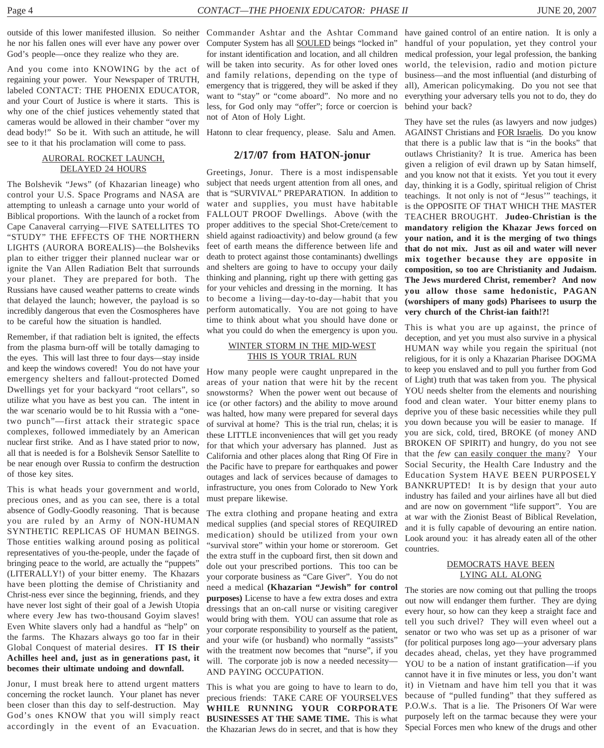he nor his fallen ones will ever have any power over God's people—once they realize who they are.

And you come into KNOWING by the act of regaining your power. Your Newspaper of TRUTH, labeled CONTACT: THE PHOENIX EDUCATOR, and your Court of Justice is where it starts. This is why one of the chief justices vehemently stated that cameras would be allowed in their chamber "over my dead body!" So be it. With such an attitude, he will Hatonn to clear frequency, please. Salu and Amen. see to it that his proclamation will come to pass.

#### AURORAL ROCKET LAUNCH, DELAYED 24 HOURS

The Bolshevik "Jews" (of Khazarian lineage) who control your U.S. Space Programs and NASA are attempting to unleash a carnage unto your world of Biblical proportions. With the launch of a rocket from Cape Canaveral carrying—FIVE SATELLITES TO "STUDY" THE EFFECTS OF THE NORTHERN LIGHTS (AURORA BOREALIS)—the Bolsheviks plan to either trigger their planned nuclear war or ignite the Van Allen Radiation Belt that surrounds your planet. They are prepared for both. The Russians have caused weather patterns to create winds that delayed the launch; however, the payload is so incredibly dangerous that even the Cosmospheres have to be careful how the situation is handled.

Remember, if that radiation belt is ignited, the effects from the plasma burn-off will be totally damaging to the eyes. This will last three to four days—stay inside and keep the windows covered! You do not have your emergency shelters and fallout-protected Domed Dwellings yet for your backyard "root cellars", so utilize what you have as best you can. The intent in the war scenario would be to hit Russia with a "onetwo punch"—first attack their strategic space complexes, followed immediately by an American nuclear first strike. And as I have stated prior to now, all that is needed is for a Bolshevik Sensor Satellite to be near enough over Russia to confirm the destruction of those key sites.

This is what heads your government and world, precious ones, and as you can see, there is a total absence of Godly-Goodly reasoning. That is because you are ruled by an Army of NON-HUMAN SYNTHETIC REPLICAS OF HUMAN BEINGS. Those entities walking around posing as political representatives of you-the-people, under the façade of bringing peace to the world, are actually the "puppets" (LITERALLY!) of your bitter enemy. The Khazars have been plotting the demise of Christianity and Christ-ness ever since the beginning, friends, and they have never lost sight of their goal of a Jewish Utopia where every Jew has two-thousand Goyim slaves! Even White slavers only had a handful as "help" on the farms. The Khazars always go too far in their Global Conquest of material desires. **IT IS their Achilles heel and, just as in generations past, it becomes their ultimate undoing and downfall.**

Jonur, I must break here to attend urgent matters concerning the rocket launch. Your planet has never been closer than this day to self-destruction. May God's ones KNOW that you will simply react accordingly in the event of an Evacuation.

Computer System has all SOULED beings "locked in" for instant identification and location, and all children will be taken into security. As for other loved ones and family relations, depending on the type of emergency that is triggered, they will be asked if they want to "stay" or "come aboard". No more and no less, for God only may "offer"; force or coercion is not of Aton of Holy Light.

#### **2/17/07 from HATON-jonur**

Greetings, Jonur. There is a most indispensable subject that needs urgent attention from all ones, and that is "SURVIVAL" PREPARATION. In addition to water and supplies, you must have habitable FALLOUT PROOF Dwellings. Above (with the proper additives to the special Shot-Crete/cement to shield against radioactivity) and below ground (a few feet of earth means the difference between life and death to protect against those contaminants) dwellings and shelters are going to have to occupy your daily thinking and planning, right up there with getting gas for your vehicles and dressing in the morning. It has to become a living—day-to-day—habit that you perform automatically. You are not going to have time to think about what you should have done or what you could do when the emergency is upon you.

#### WINTER STORM IN THE MID-WEST THIS IS YOUR TRIAL RUN

How many people were caught unprepared in the areas of your nation that were hit by the recent snowstorms? When the power went out because of ice (or other factors) and the ability to move around was halted, how many were prepared for several days of survival at home? This is the trial run, chelas; it is these LITTLE inconveniences that will get you ready for that which your adversary has planned. Just as California and other places along that Ring Of Fire in the Pacific have to prepare for earthquakes and power outages and lack of services because of damages to infrastructure, you ones from Colorado to New York must prepare likewise.

The extra clothing and propane heating and extra medical supplies (and special stores of REQUIRED medication) should be utilized from your own "survival store" within your home or storeroom. Get the extra stuff in the cupboard first, then sit down and dole out your prescribed portions. This too can be your corporate business as "Care Giver". You do not need a medical **(Khazarian "Jewish" for control purposes)** License to have a few extra doses and extra dressings that an on-call nurse or visiting caregiver would bring with them. YOU can assume that role as your corporate responsibility to yourself as the patient, and your wife (or husband) who normally "assists" with the treatment now becomes that "nurse", if you will. The corporate job is now a needed necessity-AND PAYING OCCUPATION.

This is what you are going to have to learn to do, precious friends: TAKE CARE OF YOURSELVES **WHILE RUNNING YOUR CORPORATE BUSINESSES AT THE SAME TIME.** This is what the Khazarian Jews do in secret, and that is how they

outside of this lower manifested illusion. So neither Commander Ashtar and the Ashtar Command have gained control of an entire nation. It is only a handful of your population, yet they control your medical profession, your legal profession, the banking world, the television, radio and motion picture business—and the most influential (and disturbing of all), American policymaking. Do you not see that everything your adversary tells you not to do, they do behind your back?

> They have set the rules (as lawyers and now judges) AGAINST Christians and FOR Israelis. Do you know that there is a public law that is "in the books" that outlaws Christianity? It is true. America has been given a religion of evil drawn up by Satan himself, and you know not that it exists. Yet you tout it every day, thinking it is a Godly, spiritual religion of Christ teachings. It not only is not of "Jesus'" teachings, it is the OPPOSITE OF THAT WHICH THE MASTER TEACHER BROUGHT. **Judeo-Christian is the mandatory religion the Khazar Jews forced on your nation, and it is the merging of two things that do not mix. Just as oil and water will never mix together because they are opposite in composition, so too are Christianity and Judaism. The Jews murdered Christ, remember? And now you allow those same hedonistic, PAGAN (worshipers of many gods) Pharisees to usurp the very church of the Christ-ian faith!?!**

> This is what you are up against, the prince of deception, and yet you must also survive in a physical HUMAN way while you regain the spiritual (not religious, for it is only a Khazarian Pharisee DOGMA to keep you enslaved and to pull you further from God of Light) truth that was taken from you. The physical YOU needs shelter from the elements and nourishing food and clean water. Your bitter enemy plans to deprive you of these basic necessities while they pull you down because you will be easier to manage. If you are sick, cold, tired, BROKE (of money AND BROKEN OF SPIRIT) and hungry, do you not see that the *few* can easily conquer the many? Your Social Security, the Health Care Industry and the Education System HAVE BEEN PURPOSELY BANKRUPTED! It is by design that your auto industry has failed and your airlines have all but died and are now on government "life support". You are at war with the Zionist Beast of Biblical Revelation, and it is fully capable of devouring an entire nation. Look around you: it has already eaten all of the other countries.

#### DEMOCRATS HAVE BEEN LYING ALL ALONG

The stories are now coming out that pulling the troops out now will endanger them further. They are dying every hour, so how can they keep a straight face and tell you such drivel? They will even wheel out a senator or two who was set up as a prisoner of war (for political purposes long ago—your adversary plans decades ahead, chelas, yet they have programmed YOU to be a nation of instant gratification—if you cannot have it in five minutes or less, you don't want it) in Vietnam and have him tell you that it was because of "pulled funding" that they suffered as P.O.W.s. That is a lie. The Prisoners Of War were purposely left on the tarmac because they were your Special Forces men who knew of the drugs and other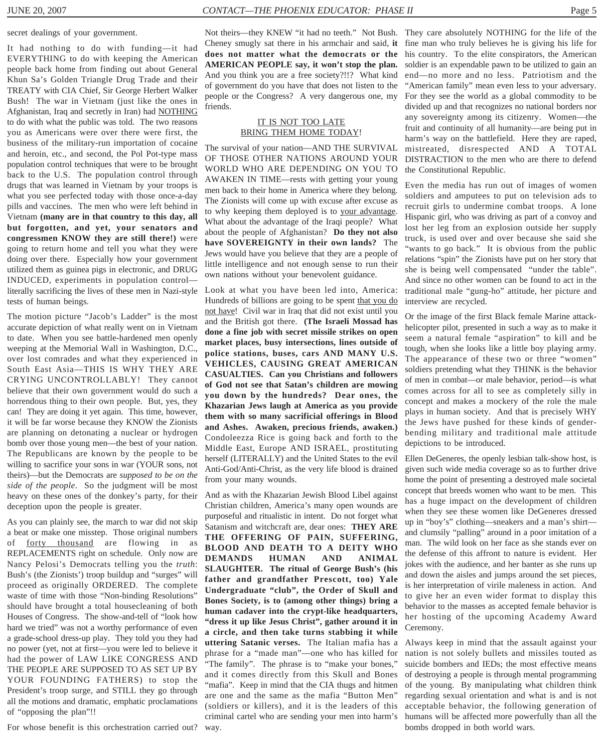secret dealings of your government.

It had nothing to do with funding—it had EVERYTHING to do with keeping the American people back home from finding out about General Khun Sa's Golden Triangle Drug Trade and their TREATY with CIA Chief, Sir George Herbert Walker Bush! The war in Vietnam (just like the ones in Afghanistan, Iraq and secretly in Iran) had NOTHING to do with what the public was told. The two reasons you as Americans were over there were first, the business of the military-run importation of cocaine and heroin, etc., and second, the Pol Pot-type mass population control techniques that were to be brought back to the U.S. The population control through drugs that was learned in Vietnam by your troops is what you see perfected today with those once-a-day pills and vaccines. The men who were left behind in Vietnam **(many are in that country to this day, all but forgotten, and yet, your senators and congressmen KNOW they are still there!)** were going to return home and tell you what they were doing over there. Especially how your government utilized them as guinea pigs in electronic, and DRUG INDUCED, experiments in population control literally sacrificing the lives of these men in Nazi-style tests of human beings.

The motion picture "Jacob's Ladder" is the most accurate depiction of what really went on in Vietnam to date. When you see battle-hardened men openly weeping at the Memorial Wall in Washington, D.C., over lost comrades and what they experienced in South East Asia—THIS IS WHY THEY ARE CRYING UNCONTROLLABLY! They cannot believe that their own government would do such a horrendous thing to their own people. But, yes, they can! They are doing it yet again. This time, however, it will be far worse because they KNOW the Zionists are planning on detonating a nuclear or hydrogen bomb over those young men—the best of your nation. The Republicans are known by the people to be willing to sacrifice your sons in war (YOUR sons, not theirs)—but the Democrats are *supposed to be on the side of the people*. So the judgment will be most heavy on these ones of the donkey's party, for their deception upon the people is greater.

As you can plainly see, the march to war did not skip a beat or make one misstep. Those original numbers of forty thousand are flowing in as REPLACEMENTS right on schedule. Only now are Nancy Pelosi's Democrats telling you the *truth*: Bush's (the Zionists') troop buildup and "surges" will proceed as originally ORDERED. The complete waste of time with those "Non-binding Resolutions" should have brought a total housecleaning of both Houses of Congress. The show-and-tell of "look how hard we tried" was not a worthy performance of even a grade-school dress-up play. They told you they had no power (yet, not at first—you were led to believe it had the power of LAW LIKE CONGRESS AND THE PEOPLE ARE SUPPOSED TO AS SET UP BY YOUR FOUNDING FATHERS) to stop the President's troop surge, and STILL they go through all the motions and dramatic, emphatic proclamations of "opposing the plan"!!

For whose benefit is this orchestration carried out?

Cheney smugly sat there in his armchair and said, **it does not matter what the democrats or the AMERICAN PEOPLE say, it won't stop the plan.** And you think you are a free society?!!? What kind of government do you have that does not listen to the people or the Congress? A very dangerous one, my friends.

#### IT IS NOT TOO LATE BRING THEM HOME TODAY!

The survival of your nation—AND THE SURVIVAL OF THOSE OTHER NATIONS AROUND YOUR WORLD WHO ARE DEPENDING ON YOU TO AWAKEN IN TIME—rests with getting your young men back to their home in America where they belong. The Zionists will come up with excuse after excuse as to why keeping them deployed is to your advantage. What about the advantage of the Iraqi people? What about the people of Afghanistan? **Do they not also have SOVEREIGNTY in their own lands?** The Jews would have you believe that they are a people of little intelligence and not enough sense to run their own nations without your benevolent guidance.

Look at what you have been led into, America: Hundreds of billions are going to be spent that you do not have! Civil war in Iraq that did not exist until you and the British got there. **(The Israeli Mossad has done a fine job with secret missile strikes on open market places, busy intersections, lines outside of police stations, buses, cars AND MANY U.S. VEHICLES, CAUSING GREAT AMERICAN CASUALTIES. Can you Christians and followers of God not see that Satan's children are mowing you down by the hundreds? Dear ones, the Khazarian Jews laugh at America as you provide them with so many sacrificial offerings in Blood and Ashes. Awaken, precious friends, awaken.)** Condoleezza Rice is going back and forth to the Middle East, Europe AND ISRAEL, prostituting herself (LITERALLY) and the United States to the evil Anti-God/Anti-Christ, as the very life blood is drained from your many wounds.

And as with the Khazarian Jewish Blood Libel against Christian children, America's many open wounds are purposeful and ritualistic in intent. Do not forget what Satanism and witchcraft are, dear ones: **THEY ARE THE OFFERING OF PAIN, SUFFERING, BLOOD AND DEATH TO A DEITY WHO DEMANDS HUMAN AND ANIMAL SLAUGHTER. The ritual of George Bush's (his father and grandfather Prescott, too) Yale Undergraduate "club", the Order of Skull and Bones Society, is to (among other things) bring a human cadaver into the crypt-like headquarters, "dress it up like Jesus Christ", gather around it in a circle, and then take turns stabbing it while uttering Satanic verses.** The Italian mafia has a phrase for a "made man"—one who has killed for "The family". The phrase is to "make your bones," and it comes directly from this Skull and Bones "mafia". Keep in mind that the CIA thugs and hitmen are one and the same as the mafia "Button Men" (soldiers or killers), and it is the leaders of this criminal cartel who are sending your men into harm's way.

Not theirs—they KNEW "it had no teeth." Not Bush. They care absolutely NOTHING for the life of the fine man who truly believes he is giving his life for his country. To the elite conspirators, the American soldier is an expendable pawn to be utilized to gain an end—no more and no less. Patriotism and the "American family" mean even less to your adversary. For they see the world as a global commodity to be divided up and that recognizes no national borders nor any sovereignty among its citizenry. Women—the fruit and continuity of all humanity—are being put in harm's way on the battlefield. Here they are raped, mistreated, disrespected AND A TOTAL DISTRACTION to the men who are there to defend the Constitutional Republic.

> Even the media has run out of images of women soldiers and amputees to put on television ads to recruit girls to undermine combat troops. A lone Hispanic girl, who was driving as part of a convoy and lost her leg from an explosion outside her supply truck, is used over and over because she said she "wants to go back." It is obvious from the public relations "spin" the Zionists have put on her story that she is being well compensated "under the table". And since no other women can be found to act in the traditional male "gung-ho" attitude, her picture and interview are recycled.

> Or the image of the first Black female Marine attackhelicopter pilot, presented in such a way as to make it seem a natural female "aspiration" to kill and be tough, when she looks like a little boy playing army. The appearance of these two or three "women" soldiers pretending what they THINK is the behavior of men in combat—or male behavior, period—is what comes across for all to see as completely silly in concept and makes a mockery of the role the male plays in human society. And that is precisely WHY the Jews have pushed for these kinds of genderbending military and traditional male attitude depictions to be introduced.

> Ellen DeGeneres, the openly lesbian talk-show host, is given such wide media coverage so as to further drive home the point of presenting a destroyed male societal concept that breeds women who want to be men. This has a huge impact on the development of children when they see these women like DeGeneres dressed up in "boy's" clothing—sneakers and a man's shirt and clumsily "palling" around in a poor imitation of a man. The wild look on her face as she stands ever on the defense of this affront to nature is evident. Her jokes with the audience, and her banter as she runs up and down the aisles and jumps around the set pieces, is her interpretation of virile maleness in action. And to give her an even wider format to display this behavior to the masses as accepted female behavior is her hosting of the upcoming Academy Award Ceremony.

> Always keep in mind that the assault against your nation is not solely bullets and missiles touted as suicide bombers and IEDs; the most effective means of destroying a people is through mental programming of the young. By manipulating what children think regarding sexual orientation and what is and is not acceptable behavior, the following generation of humans will be affected more powerfully than all the bombs dropped in both world wars.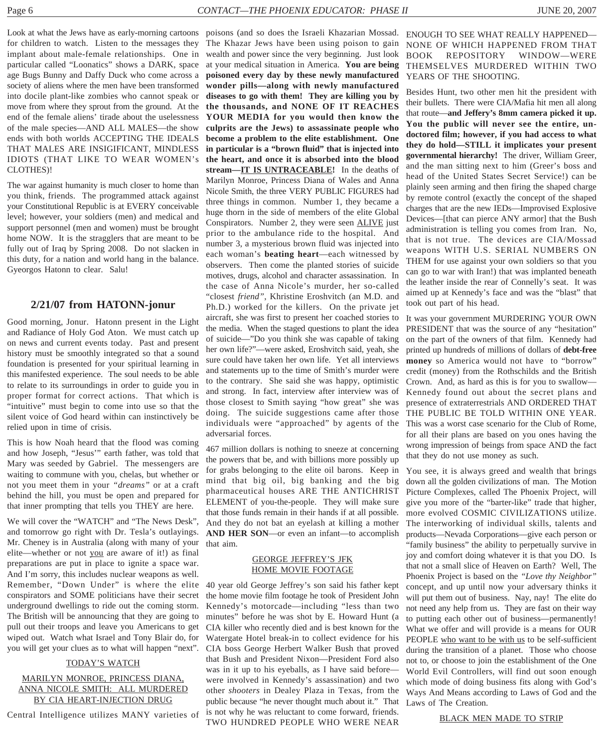for children to watch. Listen to the messages they implant about male-female relationships. One in particular called "Loonatics" shows a DARK, space age Bugs Bunny and Daffy Duck who come across a society of aliens where the men have been transformed into docile plant-like zombies who cannot speak or move from where they sprout from the ground. At the end of the female aliens' tirade about the uselessness of the male species—AND ALL MALES—the show ends with both worlds ACCEPTING THE IDEALS THAT MALES ARE INSIGIFICANT, MINDLESS IDIOTS (THAT LIKE TO WEAR WOMEN's CLOTHES)!

The war against humanity is much closer to home than you think, friends. The programmed attack against your Constitutional Republic is at EVERY conceivable level; however, your soldiers (men) and medical and support personnel (men and women) must be brought home NOW. It is the stragglers that are meant to be fully out of Iraq by Spring 2008. Do not slacken in this duty, for a nation and world hang in the balance. Gyeorgos Hatonn to clear. Salu!

#### **2/21/07 from HATONN-jonur**

Good morning, Jonur. Hatonn present in the Light and Radiance of Holy God Aton. We must catch up on news and current events today. Past and present history must be smoothly integrated so that a sound foundation is presented for your spiritual learning in this manifested experience. The soul needs to be able to relate to its surroundings in order to guide you in proper format for correct actions. That which is "intuitive" must begin to come into use so that the silent voice of God heard within can instinctively be relied upon in time of crisis.

This is how Noah heard that the flood was coming and how Joseph, "Jesus'" earth father, was told that Mary was seeded by Gabriel. The messengers are waiting to commune with you, chelas, but whether or not you meet them in your *"dreams"* or at a craft behind the hill, you must be open and prepared for that inner prompting that tells you THEY are here.

We will cover the "WATCH" and "The News Desk", and tomorrow go right with Dr. Tesla's outlayings. Mr. Cheney is in Australia (along with many of your elite—whether or not you are aware of it!) as final preparations are put in place to ignite a space war. And I'm sorry, this includes nuclear weapons as well. Remember, "Down Under" is where the elite conspirators and SOME politicians have their secret underground dwellings to ride out the coming storm. The British will be announcing that they are going to pull out their troops and leave you Americans to get wiped out. Watch what Israel and Tony Blair do, for you will get your clues as to what will happen "next".

#### TODAY'S WATCH

#### MARILYN MONROE, PRINCESS DIANA, ANNA NICOLE SMITH: ALL MURDERED BY CIA HEART-INJECTION DRUG

Central Intelligence utilizes MANY varieties of

Look at what the Jews have as early-morning cartoons poisons (and so does the Israeli Khazarian Mossad. ENOUGH TO SEE WHAT REALLY HAPPENED— The Khazar Jews have been using poison to gain wealth and power since the very beginning. Just look at your medical situation in America. **You are being poisoned every day by these newly manufactured wonder pills—along with newly manufactured diseases to go with them! They are killing you by the thousands, and NONE OF IT REACHES YOUR MEDIA for you would then know the culprits are the Jews) to assassinate people who become a problem to the elite establishment. One in particular is a "brown fluid" that is injected into the heart, and once it is absorbed into the blood stream—IT IS UNTRACEABLE!** In the deaths of Marilyn Monroe, Princess Diana of Wales and Anna Nicole Smith, the three VERY PUBLIC FIGURES had three things in common. Number 1, they became a huge thorn in the side of members of the elite Global Conspirators. Number 2, they were seen ALIVE just prior to the ambulance ride to the hospital. And number 3, a mysterious brown fluid was injected into each woman's **beating heart**—each witnessed by observers. Then come the planted stories of suicide motives, drugs, alcohol and character assassination. In the case of Anna Nicole's murder, her so-called "closest *friend"*, Khristine Eroshvitch (an M.D. and Ph.D.) worked for the killers. On the private jet aircraft, she was first to present her coached stories to the media. When the staged questions to plant the idea of suicide—"Do you think she was capable of taking her own life?"—were asked, Eroshvitch said, yeah, she sure could have taken her own life. Yet all interviews and statements up to the time of Smith's murder were to the contrary. She said she was happy, optimistic and strong. In fact, interview after interview was of those closest to Smith saying "how great" she was doing. The suicide suggestions came after those individuals were "approached" by agents of the adversarial forces.

> 467 million dollars is nothing to sneeze at concerning the powers that be, and with billions more possibly up for grabs belonging to the elite oil barons. Keep in mind that big oil, big banking and the big pharmaceutical houses ARE THE ANTICHRIST ELEMENT of you-the-people. They will make sure that those funds remain in their hands if at all possible. And they do not bat an eyelash at killing a mother **AND HER SON**—or even an infant—to accomplish that aim.

#### GEORGE JEFFREY'S JFK HOME MOVIE FOOTAGE

40 year old George Jeffrey's son said his father kept the home movie film footage he took of President John Kennedy's motorcade—including "less than two minutes" before he was shot by E. Howard Hunt (a CIA killer who recently died and is best known for the Watergate Hotel break-in to collect evidence for his CIA boss George Herbert Walker Bush that proved that Bush and President Nixon—President Ford also was in it up to his eyeballs, as I have said before were involved in Kennedy's assassination) and two other *shooters* in Dealey Plaza in Texas, from the public because "he never thought much about it." That is not why he was reluctant to come forward, friends. TWO HUNDRED PEOPLE WHO WERE NEAR

NONE OF WHICH HAPPENED FROM THAT BOOK REPOSITORY WINDOW—WERE THEMSELVES MURDERED WITHIN TWO YEARS OF THE SHOOTING.

Besides Hunt, two other men hit the president with their bullets. There were CIA/Mafia hit men all along that route—**and Jeffery's 8mm camera picked it up. You the public will never see the entire, undoctored film; however, if you had access to what they do hold—STILL it implicates your present governmental hierarchy!** The driver, William Greer, and the man sitting next to him (Greer's boss and head of the United States Secret Service!) can be plainly seen arming and then firing the shaped charge by remote control (exactly the concept of the shaped charges that are the new IEDs—Improvised Explosive Devices—[that can pierce ANY armor] that the Bush administration is telling you comes from Iran. No, that is not true. The devices are CIA/Mossad weapons WITH U.S. SERIAL NUMBERS ON THEM for use against your own soldiers so that you can go to war with Iran!) that was implanted beneath the leather inside the rear of Connelly's seat. It was aimed up at Kennedy's face and was the "blast" that took out part of his head.

It was your government MURDERING YOUR OWN PRESIDENT that was the source of any "hesitation" on the part of the owners of that film. Kennedy had printed up hundreds of millions of dollars of **debt-free money** so America would not have to "borrow" credit (money) from the Rothschilds and the British Crown. And, as hard as this is for you to swallow— Kennedy found out about the secret plans and presence of extraterrestrials AND ORDERED THAT THE PUBLIC BE TOLD WITHIN ONE YEAR. This was a worst case scenario for the Club of Rome, for all their plans are based on you ones having the wrong impression of beings from space AND the fact that they do not use money as such.

You see, it is always greed and wealth that brings down all the golden civilizations of man. The Motion Picture Complexes, called The Phoenix Project, will give you more of the "barter-like" trade that higher, more evolved COSMIC CIVILIZATIONS utilize. The interworking of individual skills, talents and products—Nevada Corporations—give each person or "family business" the ability to perpetually survive in joy and comfort doing whatever it is that you DO. Is that not a small slice of Heaven on Earth? Well, The Phoenix Project is based on the *"Love thy Neighbor"* concept, and up until now your adversary thinks it will put them out of business. Nay, nay! The elite do not need any help from us. They are fast on their way to putting each other out of business—permanently! What we offer and will provide is a means for OUR PEOPLE who want to be with us to be self-sufficient during the transition of a planet. Those who choose not to, or choose to join the establishment of the One World Evil Controllers, will find out soon enough which mode of doing business fits along with God's Ways And Means according to Laws of God and the Laws of The Creation.

BLACK MEN MADE TO STRIP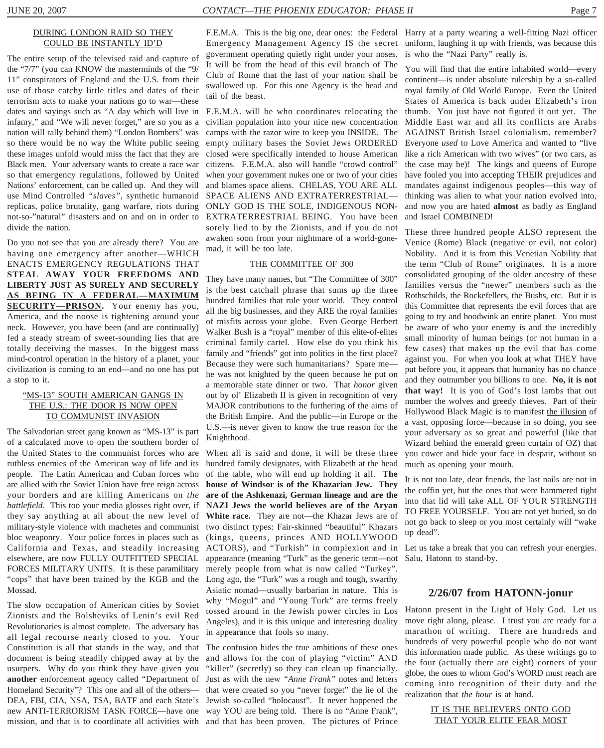#### DURING LONDON RAID SO THEY COULD BE INSTANTLY ID'D

The entire setup of the televised raid and capture of the "7/7" (you can KNOW the masterminds of the "9/ 11" conspirators of England and the U.S. from their use of those catchy little titles and dates of their terrorism acts to make your nations go to war—these dates and sayings such as "A day which will live in infamy," and "We will never forget," are so you as a nation will rally behind them) "London Bombers" was so there would be no way the White public seeing these images unfold would miss the fact that they are Black men. Your adversary wants to create a race war so that emergency regulations, followed by United Nations' enforcement, can be called up. And they will use Mind Controlled *"slaves"*, synthetic humanoid replicas, police brutality, gang warfare, riots during not-so-"natural" disasters and on and on in order to divide the nation.

Do you not see that you are already there? You are having one emergency after another—WHICH ENACTS EMERGENCY REGULATIONS THAT **STEAL AWAY YOUR FREEDOMS AND LIBERTY JUST AS SURELY AND SECURELY AS BEING IN A FEDERAL—MAXIMUM SECURITY—PRISON.** Your enemy has you, America, and the noose is tightening around your neck. However, you have been (and are continually) fed a steady stream of sweet-sounding lies that are totally deceiving the masses. In the biggest mass mind-control operation in the history of a planet, your civilization is coming to an end—and no one has put a stop to it.

#### "MS-13" SOUTH AMERICAN GANGS IN THE U.S.: THE DOOR IS NOW OPEN TO COMMUNIST INVASION

The Salvadorian street gang known as "MS-13" is part of a calculated move to open the southern border of the United States to the communist forces who are ruthless enemies of the American way of life and its people. The Latin American and Cuban forces who are allied with the Soviet Union have free reign across your borders and are killing Americans on *the battlefield*. This too your media glosses right over, if they say anything at all about the new level of military-style violence with machetes and communist bloc weaponry. Your police forces in places such as California and Texas, and steadily increasing elsewhere, are now FULLY OUTFITTED SPECIAL FORCES MILITARY UNITS. It is these paramilitary "cops" that have been trained by the KGB and the Long ago, the "Turk" was a rough and tough, swarthy Mossad.

The slow occupation of American cities by Soviet Zionists and the Bolsheviks of Lenin's evil Red Revolutionaries is almost complete. The adversary has all legal recourse nearly closed to you. Your Constitution is all that stands in the way, and that document is being steadily chipped away at by the usurpers. Why do you think they have given you **another** enforcement agency called "Department of Just as with the new *"Anne Frank"* notes and letters Homeland Security"? This one and all of the others— DEA, FBI, CIA, NSA, TSA, BATF and each State's new ANTI-TERRORISM TASK FORCE—have one way YOU are being told. There is no "Anne Frank",

Emergency Management Agency IS the secret government operating quietly right under your noses. It will be from the head of this evil branch of The Club of Rome that the last of your nation shall be swallowed up. For this one Agency is the head and tail of the beast.

F.E.M.A. will be who coordinates relocating the civilian population into your nice new concentration camps with the razor wire to keep you INSIDE. The empty military bases the Soviet Jews ORDERED closed were specifically intended to house American citizens. F.E.M.A. also will handle "crowd control" when your government nukes one or two of your cities and blames space aliens. CHELAS, YOU ARE ALL SPACE ALIENS AND EXTRATERRESTRIAL— ONLY GOD IS THE SOLE, INDIGENOUS NON-EXTRATERRESTRIAL BEING. You have been sorely lied to by the Zionists, and if you do not awaken soon from your nightmare of a world-gonemad, it will be too late.

#### THE COMMITTEE OF 300

They have many names, but "The Committee of 300" is the best catchall phrase that sums up the three hundred families that rule your world. They control all the big businesses, and they ARE the royal families of misfits across your globe. Even George Herbert Walker Bush is a "royal" member of this elite-of-elites criminal family cartel. How else do you think his family and "friends" got into politics in the first place? Because they were such humanitarians? Spare me he was not knighted by the queen because he put on a memorable state dinner or two. That *honor* given out by ol' Elizabeth II is given in recognition of very MAJOR contributions to the furthering of the aims of the British Empire. And the public—in Europe or the U.S.—is never given to know the true reason for the Knighthood.

When all is said and done, it will be these three hundred family designates, with Elizabeth at the head of the table, who will end up holding it all. **The house of Windsor is of the Khazarian Jew. They are of the Ashkenazi, German lineage and are the NAZI Jews the world believes are of the Aryan White race.** They are not—the Khazar Jews are of two distinct types: Fair-skinned "beautiful" Khazars (kings, queens, princes AND HOLLYWOOD ACTORS), and "Turkish" in complexion and in Let us take a break that you can refresh your energies. appearance (meaning "Turk" as the generic term—not merely people from what is now called "Turkey". Asiatic nomad—usually barbarian in nature. This is why "Mogul" and "Young Turk" are terms freely tossed around in the Jewish power circles in Los Angeles), and it is this unique and interesting duality in appearance that fools so many.

mission, and that is to coordinate all activities with and that has been proven. The pictures of Prince The confusion hides the true ambitions of these ones and allows for the con of playing "victim" AND "killer" (secretly) so they can clean up financially. that were created so you "never forget" the lie of the Jewish so-called "holocaust". It never happened the

F.E.M.A. This is the big one, dear ones: the Federal Harry at a party wearing a well-fitting Nazi officer uniform, laughing it up with friends, was because this is who the "Nazi Party" really is.

> You will find that the entire inhabited world—every continent—is under absolute rulership by a so-called royal family of Old World Europe. Even the United States of America is back under Elizabeth's iron thumb. You just have not figured it out yet. The Middle East war and all its conflicts are Arabs AGAINST British Israel colonialism, remember? Everyone *used* to Love America and wanted to "live like a rich American with two wives" (or two cars, as the case may be)! The kings and queens of Europe have fooled you into accepting THEIR prejudices and mandates against indigenous peoples—this way of thinking was alien to what your nation evolved into, and now you are hated **almost** as badly as England and Israel COMBINED!

> These three hundred people ALSO represent the Venice (Rome) Black (negative or evil, not color) Nobility. And it is from this Venetian Nobility that the term "Club of Rome" originates. It is a more consolidated grouping of the older ancestry of these families versus the "newer" members such as the Rothschilds, the Rockefellers, the Bushs, etc. But it is this Committee that represents the evil forces that are going to try and hoodwink an entire planet. You must be aware of who your enemy is and the incredibly small minority of human beings (or not human in a few cases) that makes up the evil that has come against you. For when you look at what THEY have put before you, it appears that humanity has no chance and they outnumber you billions to one. **No, it is not that way!** It is you of God's lost lambs that out number the wolves and greedy thieves. Part of their Hollywood Black Magic is to manifest the illusion of a vast, opposing force—because in so doing, you see your adversary as so great and powerful (like that Wizard behind the emerald green curtain of OZ) that you cower and hide your face in despair, without so much as opening your mouth.

> It is not too late, dear friends, the last nails are not in the coffin yet, but the ones that were hammered tight into that lid will take ALL OF YOUR STRENGTH TO FREE YOURSELF. You are not yet buried, so do not go back to sleep or you most certainly will "wake up dead".

> Salu, Hatonn to stand-by.

#### **2/26/07 from HATONN-jonur**

Hatonn present in the Light of Holy God. Let us move right along, please. I trust you are ready for a marathon of writing. There are hundreds and hundreds of very powerful people who do not want this information made public. As these writings go to the four (actually there are eight) corners of your globe, the ones to whom God's WORD must reach are coming into recognition of their duty and the realization that *the hour* is at hand.

> IT IS THE BELIEVERS ONTO GOD THAT YOUR ELITE FEAR MOST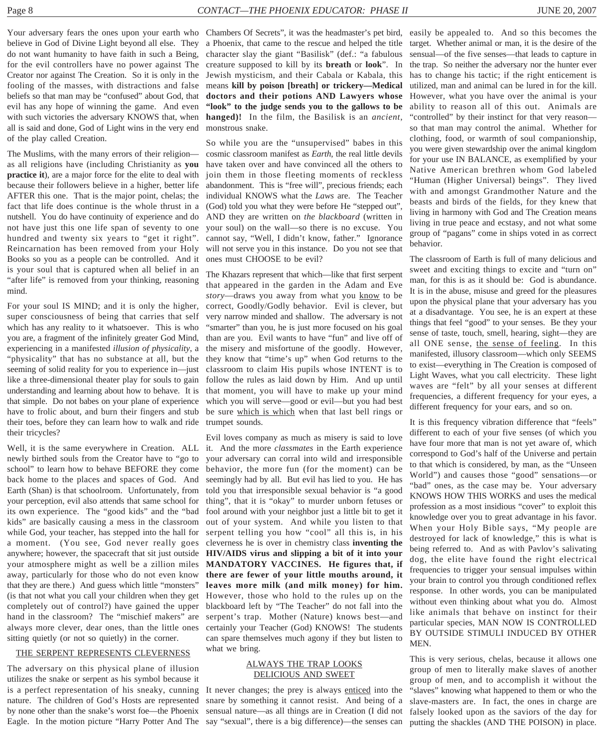Your adversary fears the ones upon your earth who Chambers Of Secrets", it was the headmaster's pet bird, easily be appealed to. And so this becomes the believe in God of Divine Light beyond all else. They do not want humanity to have faith in such a Being, for the evil controllers have no power against The Creator nor against The Creation. So it is only in the fooling of the masses, with distractions and false beliefs so that man may be "confused" about God, that evil has any hope of winning the game. And even with such victories the adversary KNOWS that, when all is said and done, God of Light wins in the very end of the play called Creation.

The Muslims, with the many errors of their religion as all religions have (including Christianity as **you practice it**), are a major force for the elite to deal with because their followers believe in a higher, better life AFTER this one. That is the major point, chelas; the fact that life does continue is the whole thrust in a nutshell. You do have continuity of experience and do not have just this one life span of seventy to one hundred and twenty six years to "get it right". Reincarnation has been removed from your Holy Books so you as a people can be controlled. And it is your soul that is captured when all belief in an "after life" is removed from your thinking, reasoning mind.

For your soul IS MIND; and it is only the higher, super consciousness of being that carries that self which has any reality to it whatsoever. This is who you are, a fragment of the infinitely greater God Mind, experiencing in a manifested *illusion of physicality*, a "physicality" that has no substance at all, but the seeming of solid reality for you to experience in—just like a three-dimensional theater play for souls to gain understanding and learning about how to behave. It is that simple. Do not babes on your plane of experience have to frolic about, and burn their fingers and stub their toes, before they can learn how to walk and ride their tricycles?

Well, it is the same everywhere in Creation. ALL newly birthed souls from the Creator have to "go to school" to learn how to behave BEFORE they come back home to the places and spaces of God. And Earth (Shan) is that schoolroom. Unfortunately, from your perception, evil also attends that same school for its own experience. The "good kids" and the "bad kids" are basically causing a mess in the classroom while God, your teacher, has stepped into the hall for a moment. (You see, God never really goes anywhere; however, the spacecraft that sit just outside your atmosphere might as well be a zillion miles away, particularly for those who do not even know that they are there.) And guess which little "monsters" (is that not what you call your children when they get completely out of control?) have gained the upper hand in the classroom? The "mischief makers" are always more clever, dear ones, than the little ones sitting quietly (or not so quietly) in the corner.

#### THE SERPENT REPRESENTS CLEVERNESS

The adversary on this physical plane of illusion utilizes the snake or serpent as his symbol because it is a perfect representation of his sneaky, cunning nature. The children of God's Hosts are represented

a Phoenix, that came to the rescue and helped the title character slay the giant "Basilisk" (def.: "a fabulous creature supposed to kill by its **breath** or **look**". In Jewish mysticism, and their Cabala or Kabala, this means **kill by poison [breath] or trickery—Medical doctors and their potions AND Lawyers whose "look" to the judge sends you to the gallows to be hanged)!** In the film, the Basilisk is an *ancient*, monstrous snake.

So while you are the "unsupervised" babes in this cosmic classroom manifest as *Earth*, the real little devils have taken over and have convinced all the others to join them in those fleeting moments of reckless abandonment. This is "free will", precious friends; each individual KNOWS what the *Laws* are. The Teacher (God) told you what they were before He "stepped out", AND they are written on *the blackboard* (written in your soul) on the wall—so there is no excuse. You cannot say, "Well, I didn't know, father." Ignorance will not serve you in this instance. Do you not see that ones must CHOOSE to be evil?

The Khazars represent that which—like that first serpent that appeared in the garden in the Adam and Eve *story*—draws you away from what you know to be correct, Goodly/Godly behavior. Evil is clever, but very narrow minded and shallow. The adversary is not "smarter" than you, he is just more focused on his goal than are you. Evil wants to have "fun" and live off of the misery and misfortune of the goodly. However, they know that "time's up" when God returns to the classroom to claim His pupils whose INTENT is to follow the rules as laid down by Him. And up until that moment, you will have to make up your mind which you will serve—good or evil—but you had best be sure which is which when that last bell rings or trumpet sounds.

Evil loves company as much as misery is said to love it. And the more *classmates* in the Earth experience your adversary can corral into wild and irresponsible behavior, the more fun (for the moment) can be seemingly had by all. But evil has lied to you. He has told you that irresponsible sexual behavior is "a good thing", that it is "okay" to murder unborn fetuses or fool around with your neighbor just a little bit to get it out of your system. And while you listen to that serpent telling you how "cool" all this is, in his cleverness he is over in chemistry class **inventing the HIV/AIDS virus and slipping a bit of it into your MANDATORY VACCINES. He figures that, if there are fewer of your little mouths around, it leaves more milk (and milk money) for him.** However, those who hold to the rules up on the blackboard left by "The Teacher" do not fall into the serpent's trap. Mother (Nature) knows best—and certainly your Teacher (God) KNOWS! The students can spare themselves much agony if they but listen to what we bring.

#### ALWAYS THE TRAP LOOKS DELICIOUS AND SWEET

by none other than the snake's worst foe—the Phoenix sensual nature—as all things are in Creation (I did not Eagle. In the motion picture "Harry Potter And The say "sexual", there is a big difference)—the senses can It never changes; the prey is always enticed into the snare by something it cannot resist. And being of a

target. Whether animal or man, it is the desire of the sensual—of the five senses—that leads to capture in the trap. So neither the adversary nor the hunter ever has to change his tactic; if the right enticement is utilized, man and animal can be lured in for the kill. However, what you have over the animal is your ability to reason all of this out. Animals are "controlled" by their instinct for that very reason so that man may control the animal. Whether for clothing, food, or warmth of soul companionship, you were given stewardship over the animal kingdom for your use IN BALANCE, as exemplified by your Native American brethren whom God labeled "Human (Higher Universal) beings". They lived with and amongst Grandmother Nature and the beasts and birds of the fields, for they knew that living in harmony with God and The Creation means living in true peace and ecstasy, and not what some group of "pagans" come in ships voted in as correct behavior.

The classroom of Earth is full of many delicious and sweet and exciting things to excite and "turn on" man, for this is as it should be: God is abundance. It is in the abuse, misuse and greed for the pleasures upon the physical plane that your adversary has you at a disadvantage. You see, he is an expert at these things that feel "good" to your senses. Be they your sense of taste, touch, smell, hearing, sight—they are all ONE sense, the sense of feeling. In this manifested, illusory classroom—which only SEEMS to exist—everything in The Creation is composed of Light Waves, what you call electricity. These light waves are "felt" by all your senses at different frequencies, a different frequency for your eyes, a different frequency for your ears, and so on.

It is this frequency vibration difference that "feels" different to each of your five senses (of which you have four more that man is not yet aware of, which correspond to God's half of the Universe and pertain to that which is considered, by man, as the "Unseen World") and causes those "good" sensations—or "bad" ones, as the case may be. Your adversary KNOWS HOW THIS WORKS and uses the medical profession as a most insidious "cover" to exploit this knowledge over you to great advantage in his favor. When your Holy Bible says, "My people are destroyed for lack of knowledge," this is what is being referred to. And as with Pavlov's salivating dog, the elite have found the right electrical frequencies to trigger your sensual impulses within your brain to control you through conditioned reflex response. In other words, you can be manipulated without even thinking about what you do. Almost like animals that behave on instinct for their particular species, MAN NOW IS CONTROLLED BY OUTSIDE STIMULI INDUCED BY OTHER MEN.

This is very serious, chelas, because it allows one group of men to literally make slaves of another group of men, and to accomplish it without the "slaves" knowing what happened to them or who the slave-masters are. In fact, the ones in charge are falsely looked upon as the saviors of the day for putting the shackles (AND THE POISON) in place.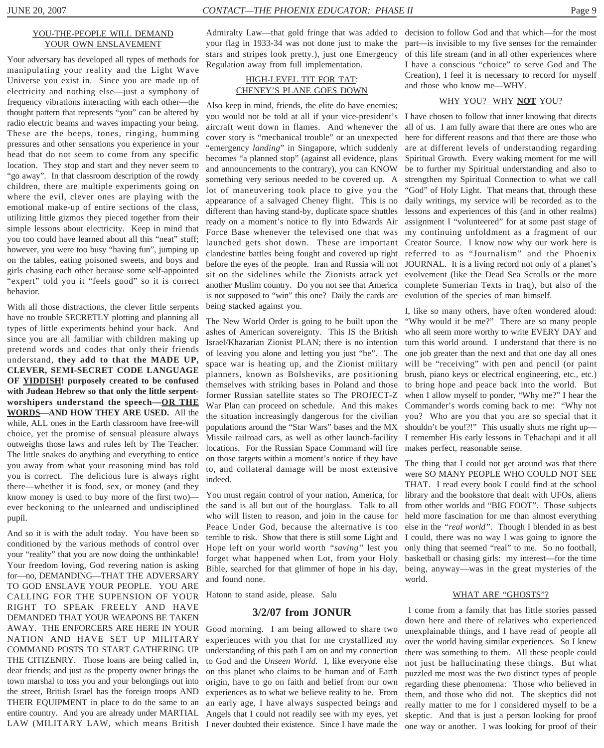#### YOU-THE-PEOPLE WILL DEMAND YOUR OWN ENSLAVEMENT

Your adversary has developed all types of methods for manipulating your reality and the Light Wave Universe you exist in. Since you are made up of electricity and nothing else—just a symphony of frequency vibrations interacting with each other—the thought pattern that represents "you" can be altered by radio electric beams and waves impacting your being. These are the beeps, tones, ringing, humming pressures and other sensations you experience in your head that do not seem to come from any specific location. They stop and start and they never seem to "go away". In that classroom description of the rowdy children, there are multiple experiments going on where the evil, clever ones are playing with the emotional make-up of entire sections of the class, utilizing little gizmos they pieced together from their simple lessons about electricity. Keep in mind that you too could have learned about all this "neat" stuff; however, you were too busy "having fun", jumping up on the tables, eating poisoned sweets, and boys and girls chasing each other because some self-appointed "expert" told you it "feels good" so it is correct behavior.

With all those distractions, the clever little serpents have no trouble SECRETLY plotting and planning all types of little experiments behind your back. And since you are all familiar with children making up pretend words and codes that only their friends understand, **they add to that the MADE UP, CLEVER, SEMI-SECRET CODE LANGUAGE OF YIDDISH! purposely created to be confused with Judean Hebrew so that only the little serpentworshipers understand the speech—OR THE WORDS—AND HOW THEY ARE USED.** All the while, ALL ones in the Earth classroom have free-will choice, yet the promise of sensual pleasure always outweighs those laws and rules left by The Teacher. The little snakes do anything and everything to entice you away from what your reasoning mind has told you is correct. The delicious lure is always right there—whether it is food, sex, or money (and they know money is used to buy more of the first two) ever beckoning to the unlearned and undisciplined pupil.

And so it is with the adult today. You have been so conditioned by the various methods of control over your "reality" that you are now doing the unthinkable! Your freedom loving, God revering nation is asking for—no, DEMANDING—THAT THE ADVERSARY TO GOD ENSLAVE YOUR PEOPLE. YOU ARE CALLING FOR THE SUPENSION OF YOUR RIGHT TO SPEAK FREELY AND HAVE DEMANDED THAT YOUR WEAPONS BE TAKEN AWAY. THE ENFORCERS ARE HERE IN YOUR NATION AND HAVE SET UP MILITARY COMMAND POSTS TO START GATHERING UP THE CITIZENRY. Those loans are being called in, dear friends; and just as the property owner brings the town marshal to toss you and your belongings out into the street, British Israel has the foreign troops AND THEIR EQUIPMENT in place to do the same to an entire country. And you are already under MARTIAL

Admiralty Law—that gold fringe that was added to decision to follow God and that which—for the most your flag in 1933-34 was not done just to make the stars and stripes look pretty.), just one Emergency Regulation away from full implementation.

#### HIGH-LEVEL TIT FOR TAT: CHENEY'S PLANE GOES DOWN

Also keep in mind, friends, the elite do have enemies; you would not be told at all if your vice-president's I have chosen to follow that inner knowing that directs aircraft went down in flames. And whenever the cover story is "mechanical trouble" or an unexpected "emergency *landing*" in Singapore, which suddenly becomes "a planned stop" (against all evidence, plans and announcements to the contrary), you can KNOW something very serious needed to be covered up. A lot of maneuvering took place to give you the appearance of a salvaged Cheney flight. This is no different than having stand-by, duplicate space shuttles ready on a moment's notice to fly into Edwards Air Force Base whenever the televised one that was launched gets shot down. These are important clandestine battles being fought and covered up right before the eyes of the people. Iran and Russia will not sit on the sidelines while the Zionists attack yet another Muslim country. Do you not see that America is not supposed to "win" this one? Daily the cards are being stacked against you.

The New World Order is going to be built upon the ashes of American sovereignty. This IS the British Israel/Khazarian Zionist PLAN; there is no intention of leaving you alone and letting you just "be". The space war is heating up, and the Zionist military planners, known as Bolsheviks, are positioning themselves with striking bases in Poland and those former Russian satellite states so The PROJECT-Z War Plan can proceed on schedule. And this makes the situation increasingly dangerous for the civilian populations around the "Star Wars" bases and the MX Missile railroad cars, as well as other launch-facility locations. For the Russian Space Command will fire on those targets within a moment's notice if they have to, and collateral damage will be most extensive indeed.

You must regain control of your nation, America, for the sand is all but out of the hourglass. Talk to all who will listen to reason, and join in the cause for Peace Under God, because the alternative is too terrible to risk. Show that there is still some Light and Hope left on your world worth *"saving"* lest you forget what happened when Lot, from your Holy Bible, searched for that glimmer of hope in his day, and found none.

Hatonn to stand aside, please. Salu

#### **3/2/07 from JONUR**

LAW (MILITARY LAW, which means British I never doubted their existence. Since I have made the Good morning. I am being allowed to share two experiences with you that for me crystallized my understanding of this path I am on and my connection to God and the *Unseen World*. I, like everyone else on this planet who claims to be human and of Earth origin, have to go on faith and belief from our own experiences as to what we believe reality to be. From an early age, I have always suspected beings and Angels that I could not readily see with my eyes, yet

part—is invisible to my five senses for the remainder of this life stream (and in all other experiences where I have a conscious "choice" to serve God and The Creation), I feel it is necessary to record for myself and those who know me—WHY.

#### WHY YOU? WHY **NOT** YOU?

all of us. I am fully aware that there are ones who are here for different reasons and that there are those who are at different levels of understanding regarding Spiritual Growth. Every waking moment for me will be to further my Spiritual understanding and also to strengthen my Spiritual Connection to what we call "God" of Holy Light. That means that, through these daily writings, my service will be recorded as to the lessons and experiences of this (and in other realms) assignment I "volunteered" for at some past stage of my continuing unfoldment as a fragment of our Creator Source. I know now why our work here is referred to as "Journalism" and the Phoenix JOURNAL. It is a living record not only of a planet's evolvement (like the Dead Sea Scrolls or the more complete Sumerian Texts in Iraq), but also of the evolution of the species of man himself.

I, like so many others, have often wondered aloud: "Why would it be me?" There are so many people who all seem more worthy to write EVERY DAY and turn this world around. I understand that there is no one job greater than the next and that one day all ones will be "receiving" with pen and pencil (or paint brush, piano keys or electrical engineering, etc., etc.) to bring hope and peace back into the world. But when I allow myself to ponder, "Why me?" I hear the Commander's words coming back to me: "Why not you? Who are you that you are so special that it shouldn't be you!?!" This usually shuts me right up— I remember His early lessons in Tehachapi and it all makes perfect, reasonable sense.

The thing that I could not get around was that there were SO MANY PEOPLE WHO COULD NOT SEE THAT. I read every book I could find at the school library and the bookstore that dealt with UFOs, aliens from other worlds and "BIG FOOT". Those subjects held more fascination for me than almost everything else in the *"real world"*. Though I blended in as best I could, there was no way I was going to ignore the only thing that seemed "real" to me. So no football, basketball or chasing girls: my interest—for the time being, anyway—was in the great mysteries of the world.

#### WHAT ARE "GHOSTS"?

 I come from a family that has little stories passed down here and there of relatives who experienced unexplainable things, and I have read of people all over the world having similar experiences. So I knew there was something to them. All these people could not just be hallucinating these things. But what puzzled me most was the two distinct types of people regarding these phenomena: Those who believed in them, and those who did not. The skeptics did not really matter to me for I considered myself to be a skeptic. And that is just a person looking for proof one way or another. I was looking for proof of their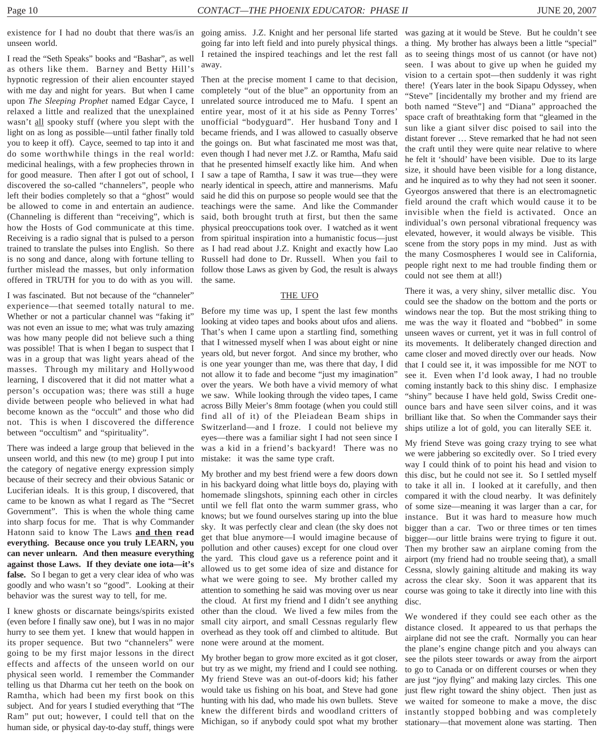existence for I had no doubt that there was/is an going amiss. J.Z. Knight and her personal life started was gazing at it would be Steve. But he couldn't see unseen world.

I read the "Seth Speaks" books and "Bashar", as well as others like them. Barney and Betty Hill's hypnotic regression of their alien encounter stayed with me day and night for years. But when I came upon *The Sleeping Prophet* named Edgar Cayce, I relaxed a little and realized that the unexplained wasn't all spooky stuff (where you slept with the light on as long as possible—until father finally told you to keep it off). Cayce, seemed to tap into it and do some worthwhile things in the real world: medicinal healings, with a few prophecies thrown in for good measure. Then after I got out of school, I discovered the so-called "channelers", people who left their bodies completely so that a "ghost" would be allowed to come in and entertain an audience. (Channeling is different than "receiving", which is how the Hosts of God communicate at this time. Receiving is a radio signal that is pulsed to a person trained to translate the pulses into English. So there is no song and dance, along with fortune telling to further mislead the masses, but only information offered in TRUTH for you to do with as you will.

I was fascinated. But not because of the "channeler" experience—that seemed totally natural to me. Whether or not a particular channel was "faking it" was not even an issue to me; what was truly amazing was how many people did not believe such a thing was possible! That is when I began to suspect that I was in a group that was light years ahead of the masses. Through my military and Hollywood learning, I discovered that it did not matter what a person's occupation was; there was still a huge divide between people who believed in what had become known as the "occult" and those who did not. This is when I discovered the difference between "occultism" and "spirituality".

There was indeed a large group that believed in the unseen world, and this new (to me) group I put into the category of negative energy expression simply because of their secrecy and their obvious Satanic or Luciferian ideals. It is this group, I discovered, that came to be known as what I regard as The "Secret Government". This is when the whole thing came into sharp focus for me. That is why Commander Hatonn said to know The Laws **and then read everything. Because once you truly LEARN, you can never unlearn. And then measure everything against those Laws. If they deviate one iota—it's false.** So I began to get a very clear idea of who was goodly and who wasn't so "good". Looking at their behavior was the surest way to tell, for me.

I knew ghosts or discarnate beings/spirits existed (even before I finally saw one), but I was in no major hurry to see them yet. I knew that would happen in its proper sequence. But two "channelers" were going to be my first major lessons in the direct effects and affects of the unseen world on our physical seen world. I remember the Commander telling us that Dharma cut her teeth on the book on Ramtha, which had been my first book on this subject. And for years I studied everything that "The Ram" put out; however, I could tell that on the human side, or physical day-to-day stuff, things were

going far into left field and into purely physical things. I retained the inspired teachings and let the rest fall away.

Then at the precise moment I came to that decision, completely "out of the blue" an opportunity from an unrelated source introduced me to Mafu. I spent an entire year, most of it at his side as Penny Torres' unofficial "bodyguard". Her husband Tony and I became friends, and I was allowed to casually observe the goings on. But what fascinated me most was that, even though I had never met J.Z. or Ramtha, Mafu said that he presented himself exactly like him. And when I saw a tape of Ramtha, I saw it was true—they were nearly identical in speech, attire and mannerisms. Mafu said he did this on purpose so people would see that the teachings were the same. And like the Commander said, both brought truth at first, but then the same physical preoccupations took over. I watched as it went from spiritual inspiration into a humanistic focus—just as I had read about J.Z. Knight and exactly how Lao Russell had done to Dr. Russell. When you fail to follow those Laws as given by God, the result is always the same.

#### THE UFO

Before my time was up, I spent the last few months looking at video tapes and books about ufos and aliens. That's when I came upon a startling find, something that I witnessed myself when I was about eight or nine years old, but never forgot. And since my brother, who is one year younger than me, was there that day, I did not allow it to fade and become "just my imagination" over the years. We both have a vivid memory of what we saw. While looking through the video tapes, I came across Billy Meier's 8mm footage (when you could still find all of it) of the Pleiadean Beam ships in Switzerland—and I froze. I could not believe my eyes—there was a familiar sight I had not seen since I was a kid in a friend's backyard! There was no mistake: it was the same type craft.

My brother and my best friend were a few doors down in his backyard doing what little boys do, playing with homemade slingshots, spinning each other in circles until we fell flat onto the warm summer grass, who knows; but we found ourselves staring up into the blue sky. It was perfectly clear and clean (the sky does not get that blue anymore—I would imagine because of pollution and other causes) except for one cloud over the yard. This cloud gave us a reference point and it allowed us to get some idea of size and distance for what we were going to see. My brother called my attention to something he said was moving over us near the cloud. At first my friend and I didn't see anything other than the cloud. We lived a few miles from the small city airport, and small Cessnas regularly flew overhead as they took off and climbed to altitude. But none were around at the moment.

My brother began to grow more excited as it got closer, but try as we might, my friend and I could see nothing. My friend Steve was an out-of-doors kid; his father would take us fishing on his boat, and Steve had gone hunting with his dad, who made his own bullets. Steve knew the different birds and woodland critters of Michigan, so if anybody could spot what my brother

a thing. My brother has always been a little "special" as to seeing things most of us cannot (or have not) seen. I was about to give up when he guided my vision to a certain spot—then suddenly it was right there! (Years later in the book Sipapu Odyssey, when "Steve" [incidentally my brother and my friend are both named "Steve"] and "Diana" approached the space craft of breathtaking form that "gleamed in the sun like a giant silver disc poised to sail into the distant forever … Steve remarked that he had not seen the craft until they were quite near relative to where he felt it 'should' have been visible. Due to its large size, it should have been visible for a long distance, and he inquired as to why they had not seen it sooner. Gyeorgos answered that there is an electromagnetic field around the craft which would cause it to be invisible when the field is activated. Once an individual's own personal vibrational frequency was elevated, however, it would always be visible. This scene from the story pops in my mind. Just as with the many Cosmospheres I would see in California, people right next to me had trouble finding them or could not see them at all!)

There it was, a very shiny, silver metallic disc. You could see the shadow on the bottom and the ports or windows near the top. But the most striking thing to me was the way it floated and "bobbed" in some unseen waves or current, yet it was in full control of its movements. It deliberately changed direction and came closer and moved directly over our heads. Now that I could see it, it was impossible for me NOT to see it. Even when I'd look away, I had no trouble coming instantly back to this shiny disc. I emphasize "shiny" because I have held gold, Swiss Credit oneounce bars and have seen silver coins, and it was brilliant like that. So when the Commander says their ships utilize a lot of gold, you can literally SEE it.

My friend Steve was going crazy trying to see what we were jabbering so excitedly over. So I tried every way I could think of to point his head and vision to this disc, but he could not see it. So I settled myself to take it all in. I looked at it carefully, and then compared it with the cloud nearby. It was definitely of some size—meaning it was larger than a car, for instance. But it was hard to measure how much bigger than a car. Two or three times or ten times bigger—our little brains were trying to figure it out. Then my brother saw an airplane coming from the airport (my friend had no trouble seeing that), a small Cessna, slowly gaining altitude and making its way across the clear sky. Soon it was apparent that its course was going to take it directly into line with this disc.

We wondered if they could see each other as the distance closed. It appeared to us that perhaps the airplane did not see the craft. Normally you can hear the plane's engine change pitch and you always can see the pilots steer towards or away from the airport to go to Canada or on different courses or when they are just "joy flying" and making lazy circles. This one just flew right toward the shiny object. Then just as we waited for someone to make a move, the disc instantly stopped bobbing and was completely stationary—that movement alone was starting. Then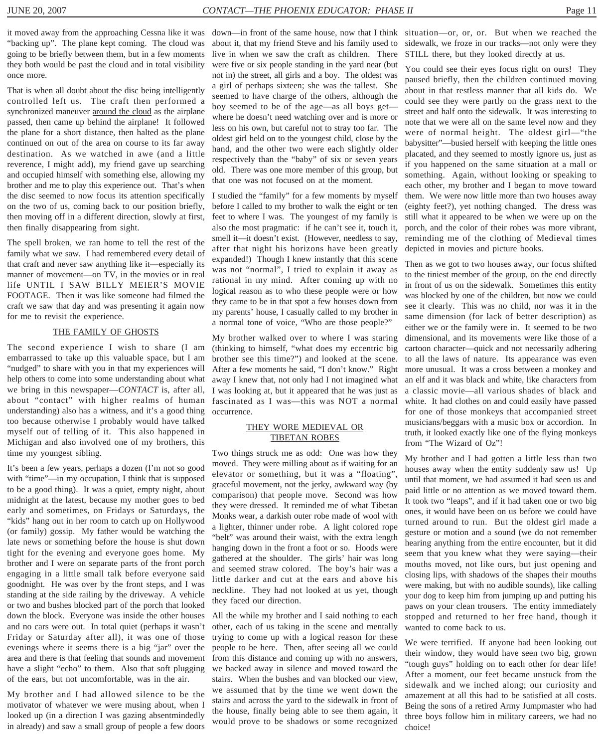"backing up". The plane kept coming. The cloud was going to be briefly between them, but in a few moments they both would be past the cloud and in total visibility once more.

That is when all doubt about the disc being intelligently controlled left us. The craft then performed a synchronized maneuver around the cloud as the airplane passed, then came up behind the airplane! It followed the plane for a short distance, then halted as the plane continued on out of the area on course to its far away destination. As we watched in awe (and a little reverence, I might add), my friend gave up searching and occupied himself with something else, allowing my brother and me to play this experience out. That's when the disc seemed to now focus its attention specifically on the two of us, coming back to our position briefly, then moving off in a different direction, slowly at first, then finally disappearing from sight.

The spell broken, we ran home to tell the rest of the family what we saw. I had remembered every detail of that craft and never saw anything like it—especially its manner of movement—on TV, in the movies or in real life UNTIL I SAW BILLY MEIER'S MOVIE FOOTAGE. Then it was like someone had filmed the craft we saw that day and was presenting it again now for me to revisit the experience.

#### THE FAMILY OF GHOSTS

The second experience I wish to share (I am embarrassed to take up this valuable space, but I am "nudged" to share with you in that my experiences will help others to come into some understanding about what we bring in this newspaper—*CONTACT* is, after all, about "contact" with higher realms of human understanding) also has a witness, and it's a good thing too because otherwise I probably would have talked myself out of telling of it. This also happened in Michigan and also involved one of my brothers, this time my youngest sibling.

It's been a few years, perhaps a dozen (I'm not so good with "time"—in my occupation, I think that is supposed to be a good thing). It was a quiet, empty night, about midnight at the latest, because my mother goes to bed early and sometimes, on Fridays or Saturdays, the "kids" hang out in her room to catch up on Hollywood (or family) gossip. My father would be watching the late news or something before the house is shut down tight for the evening and everyone goes home. My brother and I were on separate parts of the front porch engaging in a little small talk before everyone said goodnight. He was over by the front steps, and I was standing at the side railing by the driveway. A vehicle or two and bushes blocked part of the porch that looked down the block. Everyone was inside the other houses and no cars were out. In total quiet (perhaps it wasn't Friday or Saturday after all), it was one of those evenings where it seems there is a big "jar" over the area and there is that feeling that sounds and movement have a slight "echo" to them. Also that soft plugging of the ears, but not uncomfortable, was in the air.

My brother and I had allowed silence to be the motivator of whatever we were musing about, when I looked up (in a direction I was gazing absentmindedly in already) and saw a small group of people a few doors about it, that my friend Steve and his family used to live in when we saw the craft as children. There were five or six people standing in the yard near (but not in) the street, all girls and a boy. The oldest was a girl of perhaps sixteen; she was the tallest. She seemed to have charge of the others, although the boy seemed to be of the age—as all boys get where he doesn't need watching over and is more or less on his own, but careful not to stray too far. The oldest girl held on to the youngest child, close by the hand, and the other two were each slightly older respectively than the "baby" of six or seven years old. There was one more member of this group, but that one was not focused on at the moment.

I studied the "family" for a few moments by myself before I called to my brother to walk the eight or ten feet to where I was. The youngest of my family is also the most pragmatic: if he can't see it, touch it, smell it—it doesn't exist. (However, needless to say, after that night his horizons have been greatly expanded!) Though I knew instantly that this scene was not "normal", I tried to explain it away as rational in my mind. After coming up with no logical reason as to who these people were or how they came to be in that spot a few houses down from my parents' house, I casually called to my brother in a normal tone of voice, "Who are those people?"

My brother walked over to where I was staring (thinking to himself, "what does my eccentric big brother see this time?") and looked at the scene. After a few moments he said, "I don't know." Right away I knew that, not only had I not imagined what I was looking at, but it appeared that he was just as fascinated as I was—this was NOT a normal occurrence.

#### THEY WORE MEDIEVAL OR TIBETAN ROBES

Two things struck me as odd: One was how they moved. They were milling about as if waiting for an elevator or something, but it was a "floating", graceful movement, not the jerky, awkward way (by comparison) that people move. Second was how they were dressed. It reminded me of what Tibetan Monks wear, a darkish outer robe made of wool with a lighter, thinner under robe. A light colored rope "belt" was around their waist, with the extra length hanging down in the front a foot or so. Hoods were gathered at the shoulder. The girls' hair was long and seemed straw colored. The boy's hair was a little darker and cut at the ears and above his neckline. They had not looked at us yet, though they faced our direction.

All the while my brother and I said nothing to each other, each of us taking in the scene and mentally trying to come up with a logical reason for these people to be here. Then, after seeing all we could from this distance and coming up with no answers, we backed away in silence and moved toward the stairs. When the bushes and van blocked our view, we assumed that by the time we went down the stairs and across the yard to the sidewalk in front of the house, finally being able to see them again, it would prove to be shadows or some recognized

it moved away from the approaching Cessna like it was down—in front of the same house, now that I think situation—or, or, or. But when we reached the sidewalk, we froze in our tracks—not only were they STILL there, but they looked directly at us.

> You could see their eyes focus right on ours! They paused briefly, then the children continued moving about in that restless manner that all kids do. We could see they were partly on the grass next to the street and half onto the sidewalk. It was interesting to note that we were all on the same level now and they were of normal height. The oldest girl—"the babysitter"—busied herself with keeping the little ones placated, and they seemed to mostly ignore us, just as if you happened on the same situation at a mall or something. Again, without looking or speaking to each other, my brother and I began to move toward them. We were now little more than two houses away (eighty feet?), yet nothing changed. The dress was still what it appeared to be when we were up on the porch, and the color of their robes was more vibrant, reminding me of the clothing of Medieval times depicted in movies and picture books.

> Then as we got to two houses away, our focus shifted to the tiniest member of the group, on the end directly in front of us on the sidewalk. Sometimes this entity was blocked by one of the children, but now we could see it clearly. This was no child, nor was it in the same dimension (for lack of better description) as either we or the family were in. It seemed to be two dimensional, and its movements were like those of a cartoon character—quick and not necessarily adhering to all the laws of nature. Its appearance was even more unusual. It was a cross between a monkey and an elf and it was black and white, like characters from a classic movie—all various shades of black and white. It had clothes on and could easily have passed for one of those monkeys that accompanied street musicians/beggars with a music box or accordion. In truth, it looked exactly like one of the flying monkeys from "The Wizard of Oz"!

> My brother and I had gotten a little less than two houses away when the entity suddenly saw us! Up until that moment, we had assumed it had seen us and paid little or no attention as we moved toward them. It took two "leaps", and if it had taken one or two big ones, it would have been on us before we could have turned around to run. But the oldest girl made a gesture or motion and a sound (we do not remember hearing anything from the entire encounter, but it did seem that you knew what they were saying—their mouths moved, not like ours, but just opening and closing lips, with shadows of the shapes their mouths were making, but with no audible sounds), like calling your dog to keep him from jumping up and putting his paws on your clean trousers. The entity immediately stopped and returned to her free hand, though it wanted to come back to us.

> We were terrified. If anyone had been looking out their window, they would have seen two big, grown "tough guys" holding on to each other for dear life! After a moment, our feet became unstuck from the sidewalk and we inched along; our curiosity and amazement at all this had to be satisfied at all costs. Being the sons of a retired Army Jumpmaster who had three boys follow him in military careers, we had no choice!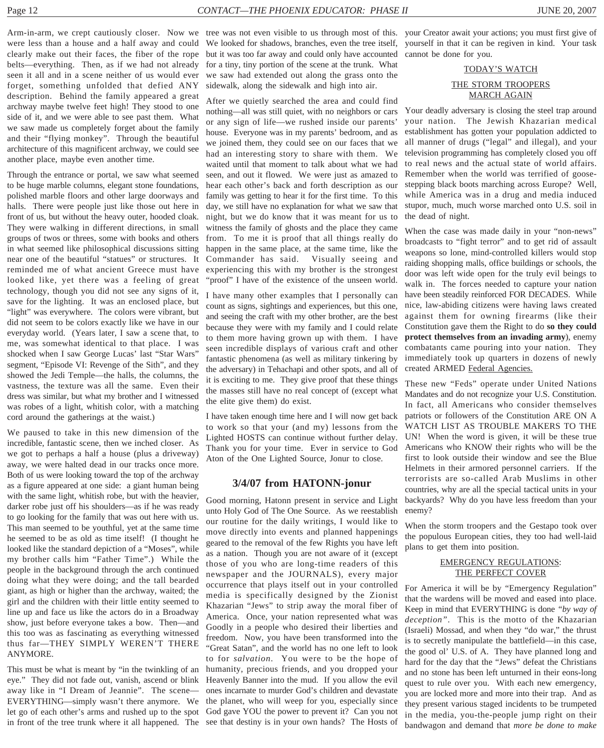were less than a house and a half away and could clearly make out their faces, the fiber of the rope belts—everything. Then, as if we had not already seen it all and in a scene neither of us would ever forget, something unfolded that defied ANY description. Behind the family appeared a great archway maybe twelve feet high! They stood to one side of it, and we were able to see past them. What we saw made us completely forget about the family and their "flying monkey". Through the beautiful architecture of this magnificent archway, we could see another place, maybe even another time.

Through the entrance or portal, we saw what seemed to be huge marble columns, elegant stone foundations, polished marble floors and other large doorways and halls. There were people just like those out here in front of us, but without the heavy outer, hooded cloak. They were walking in different directions, in small groups of twos or threes, some with books and others in what seemed like philosophical discussions sitting near one of the beautiful "statues" or structures. It reminded me of what ancient Greece must have looked like, yet there was a feeling of great technology, though you did not see any signs of it, save for the lighting. It was an enclosed place, but "light" was everywhere. The colors were vibrant, but did not seem to be colors exactly like we have in our everyday world. (Years later, I saw a scene that, to me, was somewhat identical to that place. I was shocked when I saw George Lucas' last "Star Wars" segment, "Episode VI: Revenge of the Sith", and they showed the Jedi Temple—the halls, the columns, the vastness, the texture was all the same. Even their dress was similar, but what my brother and I witnessed was robes of a light, whitish color, with a matching cord around the gatherings at the waist.)

We paused to take in this new dimension of the incredible, fantastic scene, then we inched closer. As we got to perhaps a half a house (plus a driveway) away, we were halted dead in our tracks once more. Both of us were looking toward the top of the archway as a figure appeared at one side: a giant human being with the same light, whitish robe, but with the heavier, darker robe just off his shoulders—as if he was ready to go looking for the family that was out here with us. This man seemed to be youthful, yet at the same time he seemed to be as old as time itself! (I thought he looked like the standard depiction of a "Moses", while my brother calls him "Father Time".) While the people in the background through the arch continued doing what they were doing; and the tall bearded giant, as high or higher than the archway, waited; the girl and the children with their little entity seemed to line up and face us like the actors do in a Broadway show, just before everyone takes a bow. Then—and this too was as fascinating as everything witnessed thus far—THEY SIMPLY WEREN'T THERE ANYMORE.

This must be what is meant by "in the twinkling of an humanity, precious friends, and you dropped your eye." They did not fade out, vanish, ascend or blink Heavenly Banner into the mud. If you allow the evil away like in "I Dream of Jeannie". The scene— EVERYTHING—simply wasn't there anymore. We the planet, who will weep for you, especially since let go of each other's arms and rushed up to the spot in front of the tree trunk where it all happened. The

We looked for shadows, branches, even the tree itself, yourself in that it can be regiven in kind. Your task but it was too far away and could only have accounted cannot be done for you. for a tiny, tiny portion of the scene at the trunk. What we saw had extended out along the grass onto the sidewalk, along the sidewalk and high into air.

After we quietly searched the area and could find nothing—all was still quiet, with no neighbors or cars or any sign of life—we rushed inside our parents' house. Everyone was in my parents' bedroom, and as we joined them, they could see on our faces that we had an interesting story to share with them. We waited until that moment to talk about what we had seen, and out it flowed. We were just as amazed to hear each other's back and forth description as our family was getting to hear it for the first time. To this day, we still have no explanation for what we saw that night, but we do know that it was meant for us to witness the family of ghosts and the place they came from. To me it is proof that all things really do happen in the same place, at the same time, like the Commander has said. Visually seeing and experiencing this with my brother is the strongest "proof" I have of the existence of the unseen world.

I have many other examples that I personally can count as signs, sightings and experiences, but this one, and seeing the craft with my other brother, are the best because they were with my family and I could relate to them more having grown up with them. I have seen incredible displays of various craft and other fantastic phenomena (as well as military tinkering by the adversary) in Tehachapi and other spots, and all of it is exciting to me. They give proof that these things the masses still have no real concept of (except what the elite give them) do exist.

I have taken enough time here and I will now get back to work so that your (and my) lessons from the Lighted HOSTS can continue without further delay. Thank you for your time. Ever in service to God Aton of the One Lighted Source, Jonur to close.

#### **3/4/07 from HATONN-jonur**

Good morning, Hatonn present in service and Light unto Holy God of The One Source. As we reestablish our routine for the daily writings, I would like to move directly into events and planned happenings geared to the removal of the few Rights you have left as a nation. Though you are not aware of it (except those of you who are long-time readers of this newspaper and the JOURNALS), every major occurrence that plays itself out in your controlled media is specifically designed by the Zionist Khazarian "Jews" to strip away the moral fiber of America. Once, your nation represented what was Goodly in a people who desired their liberties and freedom. Now, you have been transformed into the "Great Satan", and the world has no one left to look to for *salvation*. You were to be the hope of ones incarnate to murder God's children and devastate God gave YOU the power to prevent it? Can you not see that destiny is in your own hands? The Hosts of

Arm-in-arm, we crept cautiously closer. Now we tree was not even visible to us through most of this. your Creator await your actions; you must first give of

#### TODAY'S WATCH THE STORM TROOPERS MARCH AGAIN

Your deadly adversary is closing the steel trap around your nation. The Jewish Khazarian medical establishment has gotten your population addicted to all manner of drugs ("legal" and illegal), and your television programming has completely closed you off to real news and the actual state of world affairs. Remember when the world was terrified of goosestepping black boots marching across Europe? Well, while America was in a drug and media induced stupor, much, much worse marched onto U.S. soil in the dead of night.

When the case was made daily in your "non-news" broadcasts to "fight terror" and to get rid of assault weapons so lone, mind-controlled killers would stop raiding shopping malls, office buildings or schools, the door was left wide open for the truly evil beings to walk in. The forces needed to capture your nation have been steadily reinforced FOR DECADES. While nice, law-abiding citizens were having laws created against them for owning firearms (like their Constitution gave them the Right to do **so they could protect themselves from an invading army**), enemy combatants came pouring into your nation. They immediately took up quarters in dozens of newly created ARMED Federal Agencies.

These new "Feds" operate under United Nations Mandates and do not recognize your U.S. Constitution. In fact, all Americans who consider themselves patriots or followers of the Constitution ARE ON A WATCH LIST AS TROUBLE MAKERS TO THE UN! When the word is given, it will be these true Americans who KNOW their rights who will be the first to look outside their window and see the Blue Helmets in their armored personnel carriers. If the terrorists are so-called Arab Muslims in other countries, why are all the special tactical units in your backyards? Why do you have less freedom than your enemy?

When the storm troopers and the Gestapo took over the populous European cities, they too had well-laid plans to get them into position.

#### EMERGENCY REGULATIONS: THE PERFECT COVER

For America it will be by "Emergency Regulation" that the wardens will be moved and eased into place. Keep in mind that EVERYTHING is done *"by way of deception"*. This is the motto of the Khazarian (Israeli) Mossad, and when they "do war," the thrust is to secretly manipulate the battlefield—in this case, the good ol' U.S. of A. They have planned long and hard for the day that the "Jews" defeat the Christians and no stone has been left unturned in their eons-long quest to rule over you. With each new emergency, you are locked more and more into their trap. And as they present various staged incidents to be trumpeted in the media, you-the-people jump right on their bandwagon and demand that *more be done to make*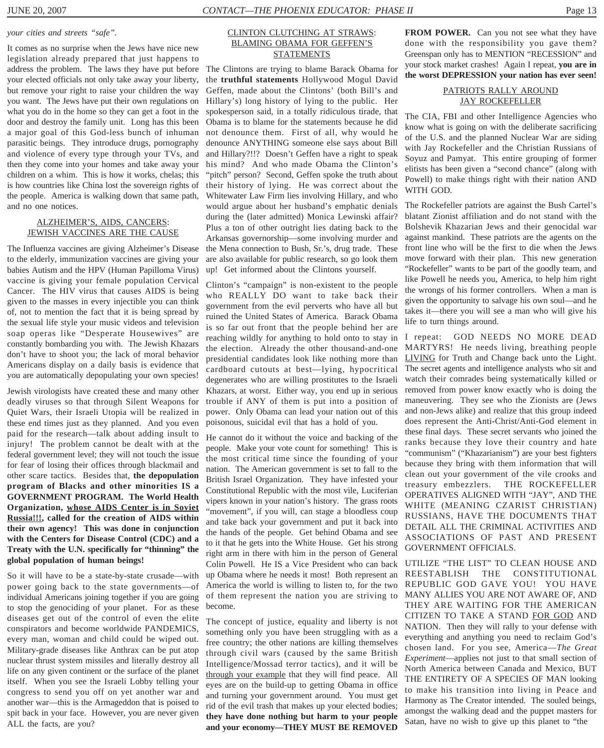#### *your cities and streets "safe".*

It comes as no surprise when the Jews have nice new legislation already prepared that just happens to address the problem. The laws they have put before your elected officials not only take away your liberty, but remove your right to raise your children the way you want. The Jews have put their own regulations on what you do in the home so they can get a foot in the door and destroy the family unit. Long has this been a major goal of this God-less bunch of inhuman parasitic beings. They introduce drugs, pornography and violence of every type through your TVs, and then they come into your homes and take away your children on a whim. This is how it works, chelas; this is how countries like China lost the sovereign rights of the people. America is walking down that same path, and no one notices.

#### ALZHEIMER'S, AIDS, CANCERS: JEWISH VACCINES ARE THE CAUSE

The Influenza vaccines are giving Alzheimer's Disease to the elderly, immunization vaccines are giving your babies Autism and the HPV (Human Papilloma Virus) vaccine is giving your female population Cervical Cancer. The HIV virus that causes AIDS is being given to the masses in every injectible you can think of, not to mention the fact that it is being spread by the sexual life style your music videos and television soap operas like "Desperate Housewives" are constantly bombarding you with. The Jewish Khazars don't have to shoot you; the lack of moral behavior Americans display on a daily basis is evidence that you are automatically depopulating your own species!

Jewish virologists have created these and many other deadly viruses so that through Silent Weapons for Quiet Wars, their Israeli Utopia will be realized in these end times just as they planned. And you even paid for the research—talk about adding insult to injury! The problem cannot be dealt with at the federal government level; they will not touch the issue for fear of losing their offices through blackmail and other scare tactics. Besides that, **the depopulation program of Blacks and other minorities IS a GOVERNMENT PROGRAM. The World Health Organization, whose AIDS Center is in Soviet Russia!!!, called for the creation of AIDS within their own agency! This was done in conjunction with the Centers for Disease Control (CDC) and a Treaty with the U.N. specifically for "thinning" the global population of human beings!**

So it will have to be a state-by-state crusade—with power going back to the state governments—of individual Americans joining together if you are going to stop the genociding of your planet. For as these diseases get out of the control of even the elite conspirators and become worldwide PANDEMICS, every man, woman and child could be wiped out. Military-grade diseases like Anthrax can be put atop nuclear thrust system missiles and literally destroy all life on any given continent or the surface of the planet itself. When you see the Israeli Lobby telling your congress to send you off on yet another war and another war—this is the Armageddon that is poised to spit back in your face. However, you are never given ALL the facts, are you?

#### CLINTON CLUTCHING AT STRAWS: BLAMING OBAMA FOR GEFFEN'S **STATEMENTS**

The Clintons are trying to blame Barack Obama for the **truthful statements** Hollywood Mogul David Geffen, made about the Clintons' (both Bill's and Hillary's) long history of lying to the public. Her spokesperson said, in a totally ridiculous tirade, that Obama is to blame for the statements because he did not denounce them. First of all, why would he denounce ANYTHING someone else says about Bill and Hillary?!!? Doesn't Geffen have a right to speak his mind? And who made Obama the Clinton's "pitch" person? Second, Geffen spoke the truth about their history of lying. He was correct about the Whitewater Law Firm lies involving Hillary, and who would argue about her husband's emphatic denials during the (later admitted) Monica Lewinski affair? Plus a ton of other outright lies dating back to the Arkansas governorship—some involving murder and the Mena connection to Bush, Sr.'s, drug trade. These are also available for public research, so go look them up! Get informed about the Clintons yourself.

Clinton's "campaign" is non-existent to the people who REALLY DO want to take back their government from the evil perverts who have all but ruined the United States of America. Barack Obama is so far out front that the people behind her are reaching wildly for anything to hold onto to stay in the election. Already the other thousand-and-one presidential candidates look like nothing more than cardboard cutouts at best—lying, hypocritical degenerates who are willing prostitutes to the Israeli Khazars, at worst. Either way, you end up in serious trouble if ANY of them is put into a position of power. Only Obama can lead your nation out of this poisonous, suicidal evil that has a hold of you.

He cannot do it without the voice and backing of the people. Make your vote count for something! This is the most critical time since the founding of your nation. The American government is set to fall to the British Israel Organization. They have infested your Constitutional Republic with the most vile, Luciferian vipers known in your nation's history. The grass roots "movement", if you will, can stage a bloodless coup and take back your government and put it back into the hands of the people. Get behind Obama and see to it that he gets into the White House. Get his strong right arm in there with him in the person of General Colin Powell. He IS a Vice President who can back up Obama where he needs it most! Both represent an America the world is willing to listen to, for the two REPUBLIC GOD GAVE YOU! YOU HAVE of them represent the nation you are striving to MANY ALLIES YOU ARE NOT AWARE OF, AND become.

The concept of justice, equality and liberty is not something only you have been struggling with as a free country; the other nations are killing themselves through civil wars (caused by the same British Intelligence/Mossad terror tactics), and it will be through your example that they will find peace. All eyes are on the build-up to getting Obama in office and turning your government around. You must get rid of the evil trash that makes up your elected bodies; **they have done nothing but harm to your people and your economy—THEY MUST BE REMOVED** **FROM POWER.** Can you not see what they have done with the responsibility you gave them? Greenspan only has to MENTION "RECESSION" and your stock market crashes! Again I repeat, **you are in the worst DEPRESSION your nation has ever seen!**

#### PATRIOTS RALLY AROUND JAY ROCKEFELLER

The CIA, FBI and other Intelligence Agencies who know what is going on with the deliberate sacrificing of the U.S. and the planned Nuclear War are siding with Jay Rockefeller and the Christian Russians of Soyuz and Pamyat. This entire grouping of former elitists has been given a "second chance" (along with Powell) to make things right with their nation AND WITH GOD.

The Rockefeller patriots are against the Bush Cartel's blatant Zionist affiliation and do not stand with the Bolshevik Khazarian Jews and their genocidal war against mankind. These patriots are the agents on the front line who will be the first to die when the Jews move forward with their plan. This new generation "Rockefeller" wants to be part of the goodly team, and like Powell he needs you, America, to help him right the wrongs of his former controllers. When a man is given the opportunity to salvage his own soul—and he takes it—there you will see a man who will give his life to turn things around.

I repeat: GOD NEEDS NO MORE DEAD MARTYRS! He needs living, breathing people LIVING for Truth and Change back unto the Light. The secret agents and intelligence analysts who sit and watch their comrades being systematically killed or removed from power know exactly who is doing the maneuvering. They see who the Zionists are (Jews and non-Jews alike) and realize that this group indeed does represent the Anti-Christ/Anti-God element in these final days. These secret servants who joined the ranks because they love their country and hate "communism" ("Khazarianism") are your best fighters because they bring with them information that will clean out your government of the vile crooks and treasury embezzlers. THE ROCKEFELLER OPERATIVES ALIGNED WITH "JAY", AND THE WHITE (MEANING CZARIST CHRISTIAN) RUSSIANS, HAVE THE DOCUMENTS THAT DETAIL ALL THE CRIMINAL ACTIVITIES AND ASSOCIATIONS OF PAST AND PRESENT GOVERNMENT OFFICIALS.

UTILIZE "THE LIST" TO CLEAN HOUSE AND REESTABLISH THE CONSTITUTIONAL THEY ARE WAITING FOR THE AMERICAN CITIZEN TO TAKE A STAND FOR GOD AND NATION. Then they will rally to your defense with everything and anything you need to reclaim God's chosen land. For you see, America—*The Great Experiment*—applies not just to that small section of North America between Canada and Mexico, BUT THE ENTIRETY OF A SPECIES OF MAN looking to make his transition into living in Peace and Harmony as The Creator intended. The souled beings, amongst the walking dead and the puppet masters for Satan, have no wish to give up this planet to "the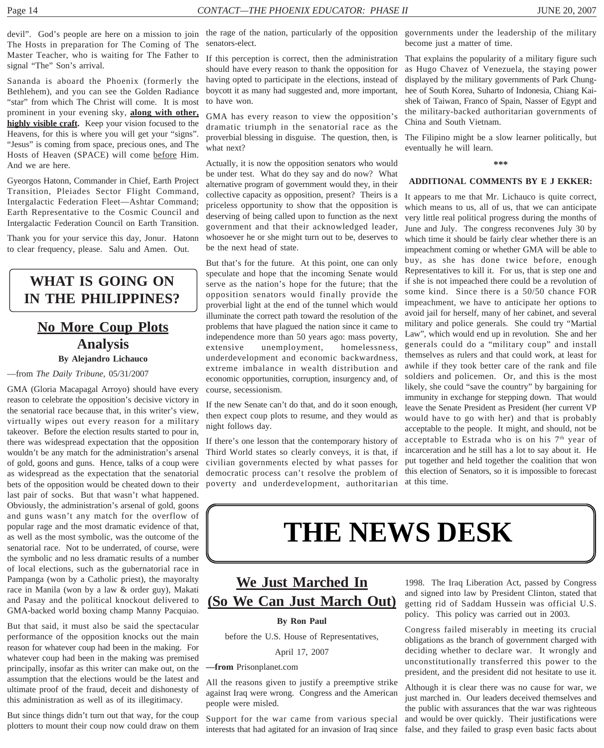The Hosts in preparation for The Coming of The Master Teacher, who is waiting for The Father to signal "The" Son's arrival.

Sananda is aboard the Phoenix (formerly the Bethlehem), and you can see the Golden Radiance "star" from which The Christ will come. It is most prominent in your evening sky, **along with other, highly visible craft.** Keep your vision focused to the Heavens, for this is where you will get your "signs". "Jesus" is coming from space, precious ones, and The Hosts of Heaven (SPACE) will come before Him. And we are here.

Gyeorgos Hatonn, Commander in Chief, Earth Project Transition, Pleiades Sector Flight Command, Intergalactic Federation Fleet—Ashtar Command; Earth Representative to the Cosmic Council and Intergalactic Federation Council on Earth Transition.

Thank you for your service this day, Jonur. Hatonn to clear frequency, please. Salu and Amen. Out.

### **WHAT IS GOING ON IN THE PHILIPPINES?**

## **No More Coup Plots Analysis**

**By Alejandro Lichauco**

—from *The Daily Tribune,* 05/31/2007

GMA (Gloria Macapagal Arroyo) should have every reason to celebrate the opposition's decisive victory in the senatorial race because that, in this writer's view, virtually wipes out every reason for a military takeover. Before the election results started to pour in, there was widespread expectation that the opposition wouldn't be any match for the administration's arsenal of gold, goons and guns. Hence, talks of a coup were as widespread as the expectation that the senatorial bets of the opposition would be cheated down to their last pair of socks. But that wasn't what happened. Obviously, the administration's arsenal of gold, goons and guns wasn't any match for the overflow of popular rage and the most dramatic evidence of that, as well as the most symbolic, was the outcome of the senatorial race. Not to be underrated, of course, were the symbolic and no less dramatic results of a number of local elections, such as the gubernatorial race in Pampanga (won by a Catholic priest), the mayoralty race in Manila (won by a law & order guy), Makati and Pasay and the political knockout delivered to GMA-backed world boxing champ Manny Pacquiao.

But that said, it must also be said the spectacular performance of the opposition knocks out the main reason for whatever coup had been in the making. For whatever coup had been in the making was premised principally, insofar as this writer can make out, on the assumption that the elections would be the latest and ultimate proof of the fraud, deceit and dishonesty of this administration as well as of its illegitimacy.

But since things didn't turn out that way, for the coup plotters to mount their coup now could draw on them

devil". God's people are here on a mission to join the rage of the nation, particularly of the opposition governments under the leadership of the military senators-elect.

> If this perception is correct, then the administration should have every reason to thank the opposition for having opted to participate in the elections, instead of boycott it as many had suggested and, more important, to have won.

GMA has every reason to view the opposition's dramatic triumph in the senatorial race as the proverbial blessing in disguise. The question, then, is what next?

Actually, it is now the opposition senators who would be under test. What do they say and do now? What alternative program of government would they, in their collective capacity as opposition, present? Theirs is a priceless opportunity to show that the opposition is deserving of being called upon to function as the next government and that their acknowledged leader, whosoever he or she might turn out to be, deserves to be the next head of state.

But that's for the future. At this point, one can only speculate and hope that the incoming Senate would serve as the nation's hope for the future; that the opposition senators would finally provide the proverbial light at the end of the tunnel which would illuminate the correct path toward the resolution of the problems that have plagued the nation since it came to independence more than 50 years ago: mass poverty, extensive unemployment, homelessness, underdevelopment and economic backwardness, extreme imbalance in wealth distribution and economic opportunities, corruption, insurgency and, of course, secessionism.

If the new Senate can't do that, and do it soon enough, then expect coup plots to resume, and they would as night follows day.

If there's one lesson that the contemporary history of Third World states so clearly conveys, it is that, if civilian governments elected by what passes for democratic process can't resolve the problem of poverty and underdevelopment, authoritarian

become just a matter of time.

That explains the popularity of a military figure such as Hugo Chavez of Venezuela, the staying power displayed by the military governments of Park Chunghee of South Korea, Suharto of Indonesia, Chiang Kaishek of Taiwan, Franco of Spain, Nasser of Egypt and the military-backed authoritarian governments of China and South Vietnam.

The Filipino might be a slow learner politically, but eventually he will learn.

**\*\*\***

#### **ADDITIONAL COMMENTS BY E J EKKER:**

It appears to me that Mr. Lichauco is quite correct, which means to us, all of us, that we can anticipate very little real political progress during the months of June and July. The congress reconvenes July 30 by which time it should be fairly clear whether there is an impeachment coming or whether GMA will be able to buy, as she has done twice before, enough Representatives to kill it. For us, that is step one and if she is not impeached there could be a revolution of some kind. Since there is a 50/50 chance FOR impeachment, we have to anticipate her options to avoid jail for herself, many of her cabinet, and several military and police generals. She could try "Martial Law", which would end up in revolution. She and her generals could do a "military coup" and install themselves as rulers and that could work, at least for awhile if they took better care of the rank and file soldiers and policemen. Or, and this is the most likely, she could "save the country" by bargaining for immunity in exchange for stepping down. That would leave the Senate President as President (her current VP would have to go with her) and that is probably acceptable to the people. It might, and should, not be acceptable to Estrada who is on his 7<sup>th</sup> year of incarceration and he still has a lot to say about it. He put together and held together the coalition that won this election of Senators, so it is impossible to forecast at this time.

# **THE NEWS DESK**

## **We Just Marched In (So We Can Just March Out)**

#### **By Ron Paul**

before the U.S. House of Representatives, April 17, 2007

#### **—from** Prisonplanet.com

All the reasons given to justify a preemptive strike against Iraq were wrong. Congress and the American people were misled.

Support for the war came from various special interests that had agitated for an invasion of Iraq since

1998. The Iraq Liberation Act, passed by Congress and signed into law by President Clinton, stated that getting rid of Saddam Hussein was official U.S. policy. This policy was carried out in 2003.

Congress failed miserably in meeting its crucial obligations as the branch of government charged with deciding whether to declare war. It wrongly and unconstitutionally transferred this power to the president, and the president did not hesitate to use it.

Although it is clear there was no cause for war, we just marched in. Our leaders deceived themselves and the public with assurances that the war was righteous and would be over quickly. Their justifications were false, and they failed to grasp even basic facts about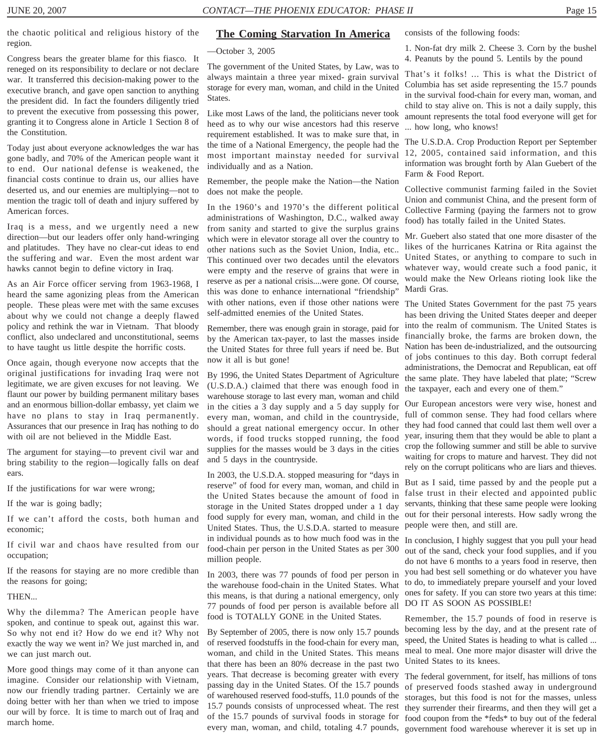the chaotic political and religious history of the region.

Congress bears the greater blame for this fiasco. It reneged on its responsibility to declare or not declare war. It transferred this decision-making power to the executive branch, and gave open sanction to anything the president did. In fact the founders diligently tried to prevent the executive from possessing this power, granting it to Congress alone in Article 1 Section 8 of the Constitution.

Today just about everyone acknowledges the war has gone badly, and 70% of the American people want it to end. Our national defense is weakened, the financial costs continue to drain us, our allies have deserted us, and our enemies are multiplying—not to mention the tragic toll of death and injury suffered by American forces.

Iraq is a mess, and we urgently need a new direction—but our leaders offer only hand-wringing and platitudes. They have no clear-cut ideas to end the suffering and war. Even the most ardent war hawks cannot begin to define victory in Iraq.

As an Air Force officer serving from 1963-1968, I heard the same agonizing pleas from the American people. These pleas were met with the same excuses about why we could not change a deeply flawed policy and rethink the war in Vietnam. That bloody conflict, also undeclared and unconstitutional, seems to have taught us little despite the horrific costs.

Once again, though everyone now accepts that the original justifications for invading Iraq were not legitimate, we are given excuses for not leaving. We flaunt our power by building permanent military bases and an enormous billion-dollar embassy, yet claim we have no plans to stay in Iraq permanently. Assurances that our presence in Iraq has nothing to do with oil are not believed in the Middle East.

The argument for staying—to prevent civil war and bring stability to the region—logically falls on deaf ears.

If the justifications for war were wrong;

If the war is going badly;

If we can't afford the costs, both human and economic;

If civil war and chaos have resulted from our occupation;

If the reasons for staying are no more credible than the reasons for going;

**THEN** 

Why the dilemma? The American people have spoken, and continue to speak out, against this war. So why not end it? How do we end it? Why not exactly the way we went in? We just marched in, and we can just march out.

More good things may come of it than anyone can imagine. Consider our relationship with Vietnam, now our friendly trading partner. Certainly we are doing better with her than when we tried to impose our will by force. It is time to march out of Iraq and march home.

#### **The Coming Starvation In America**

—October 3, 2005

The government of the United States, by Law, was to always maintain a three year mixed- grain survival storage for every man, woman, and child in the United States.

Like most Laws of the land, the politicians never took heed as to why our wise ancestors had this reserve requirement established. It was to make sure that, in the time of a National Emergency, the people had the most important mainstay needed for survival individually and as a Nation.

Remember, the people make the Nation—the Nation does not make the people.

In the 1960's and 1970's the different political administrations of Washington, D.C., walked away from sanity and started to give the surplus grains which were in elevator storage all over the country to other nations such as the Soviet Union, India, etc.. This continued over two decades until the elevators were empty and the reserve of grains that were in reserve as per a national crisis....were gone. Of course, this was done to enhance international "friendship" with other nations, even if those other nations were The United States Government for the past 75 years self-admitted enemies of the United States.

Remember, there was enough grain in storage, paid for by the American tax-payer, to last the masses inside the United States for three full years if need be. But now it all is but gone!

By 1996, the United States Department of Agriculture (U.S.D.A.) claimed that there was enough food in warehouse storage to last every man, woman and child in the cities a 3 day supply and a 5 day supply for every man, woman, and child in the countryside, should a great national emergency occur. In other words, if food trucks stopped running, the food supplies for the masses would be 3 days in the cities and 5 days in the countryside.

In 2003, the U.S.D.A. stopped measuring for "days in reserve" of food for every man, woman, and child in the United States because the amount of food in storage in the United States dropped under a 1 day food supply for every man, woman, and child in the United States. Thus, the U.S.D.A. started to measure in individual pounds as to how much food was in the In conclusion, I highly suggest that you pull your head food-chain per person in the United States as per 300 million people.

In 2003, there was 77 pounds of food per person in the warehouse food-chain in the United States. What this means, is that during a national emergency, only 77 pounds of food per person is available before all food is TOTALLY GONE in the United States.

By September of 2005, there is now only 15.7 pounds of reserved foodstuffs in the food-chain for every man, woman, and child in the United States. This means that there has been an 80% decrease in the past two years. That decrease is becoming greater with every The federal government, for itself, has millions of tons passing day in the United States. Of the 15.7 pounds of warehoused reserved food-stuffs, 11.0 pounds of the 15.7 pounds consists of unprocessed wheat. The rest of the 15.7 pounds of survival foods in storage for every man, woman, and child, totaling 4.7 pounds,

consists of the following foods:

1. Non-fat dry milk 2. Cheese 3. Corn by the bushel 4. Peanuts by the pound 5. Lentils by the pound

That's it folks! ... This is what the District of Columbia has set aside representing the 15.7 pounds in the survival food-chain for every man, woman, and child to stay alive on. This is not a daily supply, this amount represents the total food everyone will get for ... how long, who knows!

The U.S.D.A. Crop Production Report per September 12, 2005, contained said information, and this information was brought forth by Alan Guebert of the Farm & Food Report.

Collective communist farming failed in the Soviet Union and communist China, and the present form of Collective Farming (paying the farmers not to grow food) has totally failed in the United States.

Mr. Guebert also stated that one more disaster of the likes of the hurricanes Katrina or Rita against the United States, or anything to compare to such in whatever way, would create such a food panic, it would make the New Orleans rioting look like the Mardi Gras.

has been driving the United States deeper and deeper into the realm of communism. The United States is financially broke, the farms are broken down, the Nation has been de-industrialized, and the outsourcing of jobs continues to this day. Both corrupt federal administrations, the Democrat and Republican, eat off the same plate. They have labeled that plate; "Screw the taxpayer, each and every one of them."

Our European ancestors were very wise, honest and full of common sense. They had food cellars where they had food canned that could last them well over a year, insuring them that they would be able to plant a crop the following summer and still be able to survive waiting for crops to mature and harvest. They did not rely on the corrupt politicans who are liars and thieves.

But as I said, time passed by and the people put a false trust in their elected and appointed public servants, thinking that these same people were looking out for their personal interests. How sadly wrong the people were then, and still are.

out of the sand, check your food supplies, and if you do not have 6 months to a years food in reserve, then you had best sell something or do whatever you have to do, to immediately prepare yourself and your loved ones for safety. If you can store two years at this time: DO IT AS SOON AS POSSIBLE!

Remember, the 15.7 pounds of food in reserve is becoming less by the day, and at the present rate of speed, the United States is heading to what is called ... meal to meal. One more major disaster will drive the United States to its knees.

of preserved foods stashed away in underground storages, but this food is not for the masses, unless they surrender their firearms, and then they will get a food coupon from the \*feds\* to buy out of the federal government food warehouse wherever it is set up in